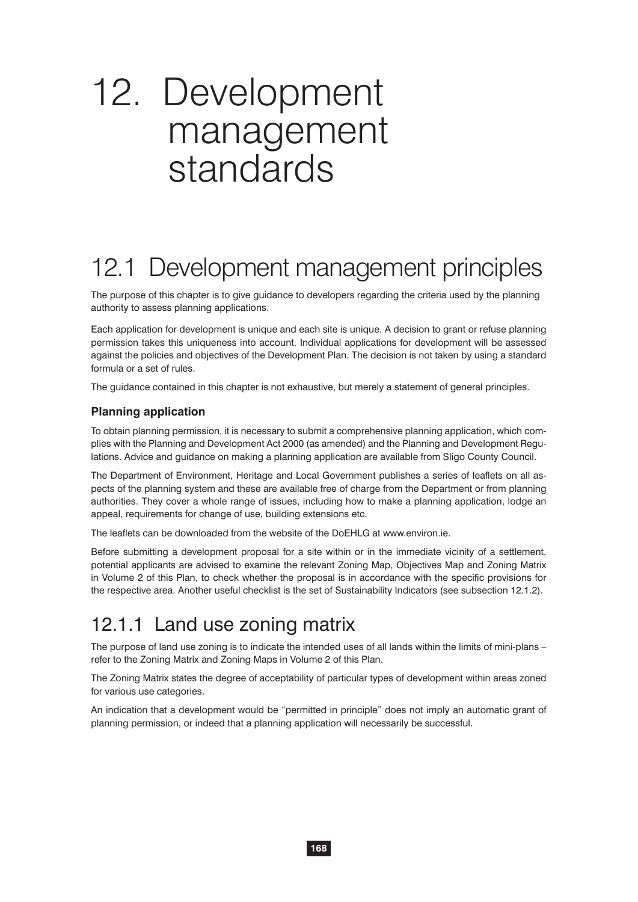# 12. Development management standards

# 12.1 Development management principles

The purpose of this chapter is to give guidance to developers regarding the criteria used by the planning authority to assess planning applications.

Each application for development is unique and each site is unique. A decision to grant or refuse planning permission takes this uniqueness into account. Individual applications for development will be assessed against the policies and objectives of the Development Plan. The decision is not taken by using a standard formula or a set of rules.

The guidance contained in this chapter is not exhaustive, but merely a statement of general principles.

#### **Planning application**

To obtain planning permission, it is necessary to submit a comprehensive planning application, which complies with the Planning and Development Act 2000 (as amended) and the Planning and Development Regulations. Advice and guidance on making a planning application are available from Sligo County Council.

The Department of Environment, Heritage and Local Government publishes a series of leaflets on all aspects of the planning system and these are available free of charge from the Department or from planning authorities. They cover a whole range of issues, including how to make a planning application, lodge an appeal, requirements for change of use, building extensions etc.

The leaflets can be downloaded from the website of the DoEHLG at www.environ.ie.

Before submitting a development proposal for a site within or in the immediate vicinity of a settlement, potential applicants are advised to examine the relevant Zoning Map, Objectives Map and Zoning Matrix in Volume 2 of this Plan, to check whether the proposal is in accordance with the specific provisions for the respective area. Another useful checklist is the set of Sustainability Indicators (see subsection 12.1.2).

#### 12.1.1 Land use zoning matrix

The purpose of land use zoning is to indicate the intended uses of all lands within the limits of mini-plans – refer to the Zoning Matrix and Zoning Maps in Volume 2 of this Plan.

The Zoning Matrix states the degree of acceptability of particular types of development within areas zoned for various use categories.

An indication that a development would be "permitted in principle" does not imply an automatic grant of planning permission, or indeed that a planning application will necessarily be successful.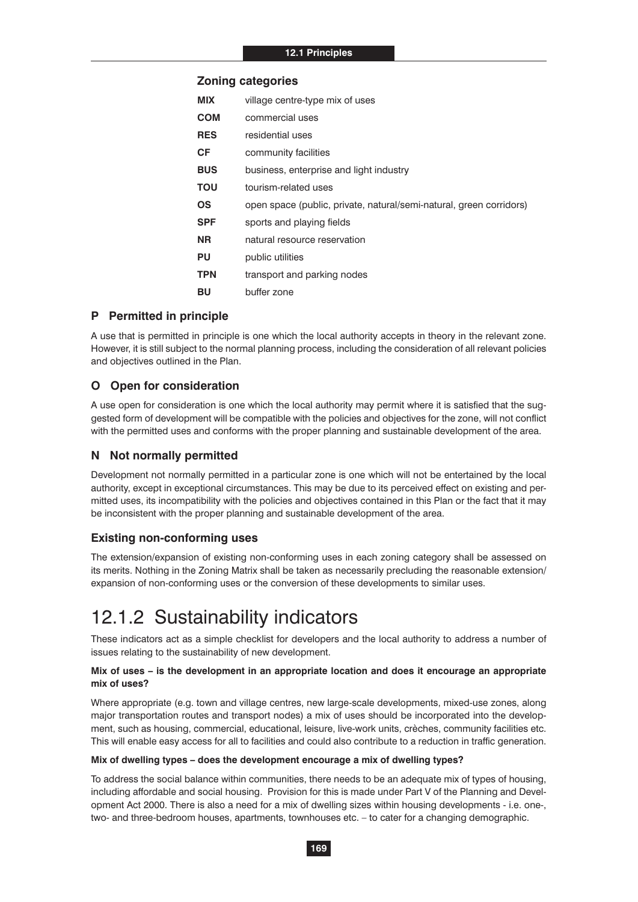#### **Zoning categories**

| <b>MIX</b> | village centre-type mix of uses                                     |
|------------|---------------------------------------------------------------------|
| <b>COM</b> | commercial uses                                                     |
| <b>RES</b> | residential uses                                                    |
| СF         | community facilities                                                |
| <b>BUS</b> | business, enterprise and light industry                             |
| ΤΟυ        | tourism-related uses                                                |
| ΟS         | open space (public, private, natural/semi-natural, green corridors) |
| SPF        | sports and playing fields                                           |
| NR.        | natural resource reservation                                        |
| PU         | public utilities                                                    |
| TPN        | transport and parking nodes                                         |
| BU         | buffer zone                                                         |

#### **P Permitted in principle**

A use that is permitted in principle is one which the local authority accepts in theory in the relevant zone. However, it is still subject to the normal planning process, including the consideration of all relevant policies and objectives outlined in the Plan.

#### **O Open for consideration**

A use open for consideration is one which the local authority may permit where it is satisfied that the suggested form of development will be compatible with the policies and objectives for the zone, will not conflict with the permitted uses and conforms with the proper planning and sustainable development of the area.

#### **N Not normally permitted**

Development not normally permitted in a particular zone is one which will not be entertained by the local authority, except in exceptional circumstances. This may be due to its perceived effect on existing and permitted uses, its incompatibility with the policies and objectives contained in this Plan or the fact that it may be inconsistent with the proper planning and sustainable development of the area.

#### **Existing non-conforming uses**

The extension/expansion of existing non-conforming uses in each zoning category shall be assessed on its merits. Nothing in the Zoning Matrix shall be taken as necessarily precluding the reasonable extension/ expansion of non-conforming uses or the conversion of these developments to similar uses.

#### 12.1.2 Sustainability indicators

These indicators act as a simple checklist for developers and the local authority to address a number of issues relating to the sustainability of new development.

#### **Mix of uses – is the development in an appropriate location and does it encourage an appropriate mix of uses?**

Where appropriate (e.g. town and village centres, new large-scale developments, mixed-use zones, along major transportation routes and transport nodes) a mix of uses should be incorporated into the development, such as housing, commercial, educational, leisure, live-work units, crèches, community facilities etc. This will enable easy access for all to facilities and could also contribute to a reduction in traffic generation.

#### **Mix of dwelling types – does the development encourage a mix of dwelling types?**

To address the social balance within communities, there needs to be an adequate mix of types of housing, including affordable and social housing. Provision for this is made under Part V of the Planning and Development Act 2000. There is also a need for a mix of dwelling sizes within housing developments - i.e. one-, two- and three-bedroom houses, apartments, townhouses etc. – to cater for a changing demographic.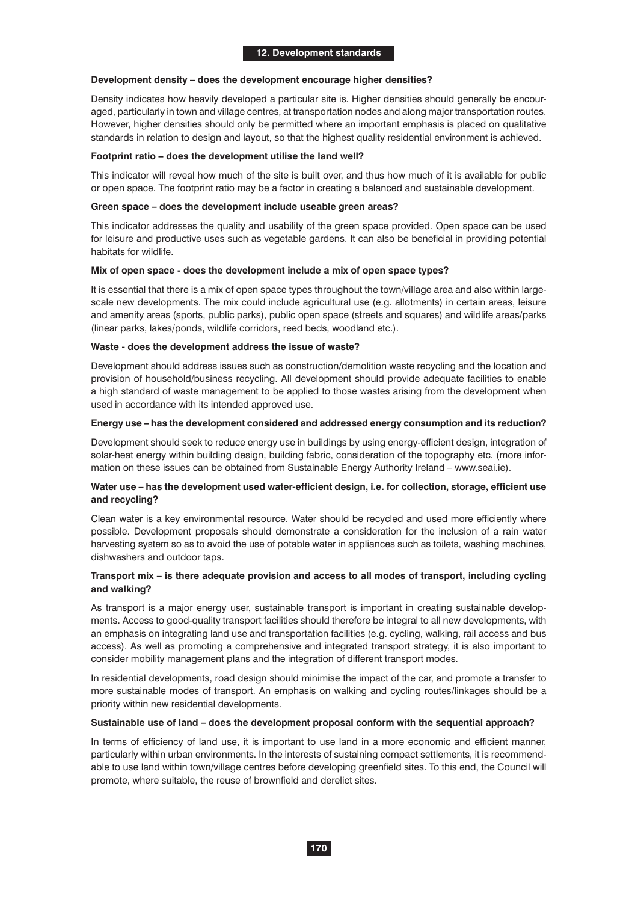#### **Development density – does the development encourage higher densities?**

Density indicates how heavily developed a particular site is. Higher densities should generally be encouraged, particularly in town and village centres, at transportation nodes and along major transportation routes. However, higher densities should only be permitted where an important emphasis is placed on qualitative standards in relation to design and layout, so that the highest quality residential environment is achieved.

#### **Footprint ratio – does the development utilise the land well?**

This indicator will reveal how much of the site is built over, and thus how much of it is available for public or open space. The footprint ratio may be a factor in creating a balanced and sustainable development.

#### **Green space – does the development include useable green areas?**

This indicator addresses the quality and usability of the green space provided. Open space can be used for leisure and productive uses such as vegetable gardens. It can also be beneficial in providing potential habitats for wildlife.

#### **Mix of open space - does the development include a mix of open space types?**

It is essential that there is a mix of open space types throughout the town/village area and also within largescale new developments. The mix could include agricultural use (e.g. allotments) in certain areas, leisure and amenity areas (sports, public parks), public open space (streets and squares) and wildlife areas/parks (linear parks, lakes/ponds, wildlife corridors, reed beds, woodland etc.).

#### **Waste - does the development address the issue of waste?**

Development should address issues such as construction/demolition waste recycling and the location and provision of household/business recycling. All development should provide adequate facilities to enable a high standard of waste management to be applied to those wastes arising from the development when used in accordance with its intended approved use.

#### **Energy use – has the development considered and addressed energy consumption and its reduction?**

Development should seek to reduce energy use in buildings by using energy-efficient design, integration of solar-heat energy within building design, building fabric, consideration of the topography etc. (more information on these issues can be obtained from Sustainable Energy Authority Ireland – www.seai.ie).

#### **Water use – has the development used water-efficient design, i.e. for collection, storage, efficient use and recycling?**

Clean water is a key environmental resource. Water should be recycled and used more efficiently where possible. Development proposals should demonstrate a consideration for the inclusion of a rain water harvesting system so as to avoid the use of potable water in appliances such as toilets, washing machines, dishwashers and outdoor taps.

#### **Transport mix – is there adequate provision and access to all modes of transport, including cycling and walking?**

As transport is a major energy user, sustainable transport is important in creating sustainable developments. Access to good-quality transport facilities should therefore be integral to all new developments, with an emphasis on integrating land use and transportation facilities (e.g. cycling, walking, rail access and bus access). As well as promoting a comprehensive and integrated transport strategy, it is also important to consider mobility management plans and the integration of different transport modes.

In residential developments, road design should minimise the impact of the car, and promote a transfer to more sustainable modes of transport. An emphasis on walking and cycling routes/linkages should be a priority within new residential developments.

#### **Sustainable use of land – does the development proposal conform with the sequential approach?**

In terms of efficiency of land use, it is important to use land in a more economic and efficient manner, particularly within urban environments. In the interests of sustaining compact settlements, it is recommendable to use land within town/village centres before developing greenfield sites. To this end, the Council will promote, where suitable, the reuse of brownfield and derelict sites.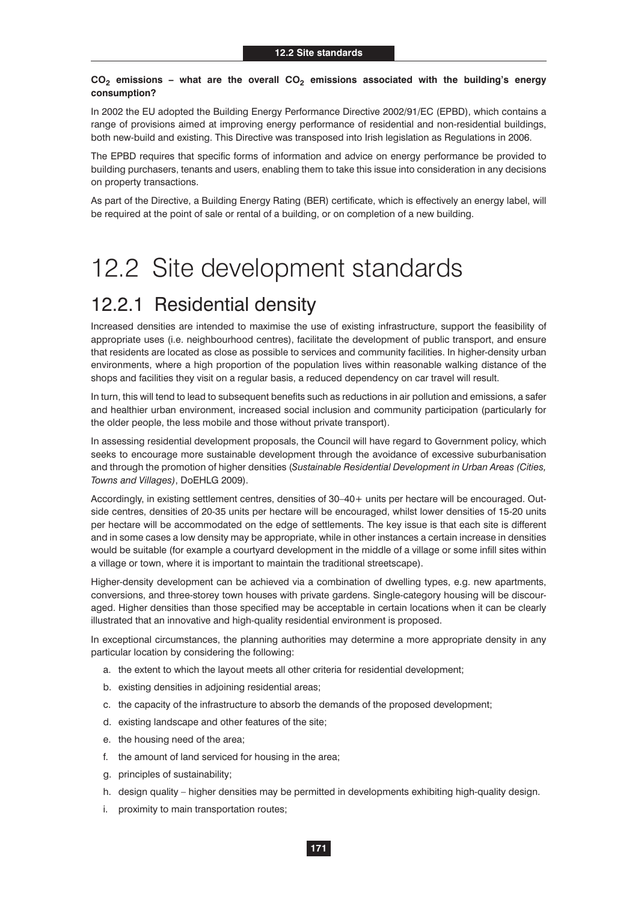#### $CO<sub>2</sub>$  emissions – what are the overall  $CO<sub>2</sub>$  emissions associated with the building's energy **consumption?**

In 2002 the EU adopted the Building Energy Performance Directive 2002/91/EC (EPBD), which contains a range of provisions aimed at improving energy performance of residential and non-residential buildings, both new-build and existing. This Directive was transposed into Irish legislation as Regulations in 2006.

The EPBD requires that specific forms of information and advice on energy performance be provided to building purchasers, tenants and users, enabling them to take this issue into consideration in any decisions on property transactions.

As part of the Directive, a Building Energy Rating (BER) certificate, which is effectively an energy label, will be required at the point of sale or rental of a building, or on completion of a new building.

## 12.2 Site development standards

### 12.2.1 Residential density

Increased densities are intended to maximise the use of existing infrastructure, support the feasibility of appropriate uses (i.e. neighbourhood centres), facilitate the development of public transport, and ensure that residents are located as close as possible to services and community facilities. In higher-density urban environments, where a high proportion of the population lives within reasonable walking distance of the shops and facilities they visit on a regular basis, a reduced dependency on car travel will result.

In turn, this will tend to lead to subsequent benefits such as reductions in air pollution and emissions, a safer and healthier urban environment, increased social inclusion and community participation (particularly for the older people, the less mobile and those without private transport).

In assessing residential development proposals, the Council will have regard to Government policy, which seeks to encourage more sustainable development through the avoidance of excessive suburbanisation and through the promotion of higher densities (*Sustainable Residential Development in Urban Areas (Cities, Towns and Villages)*, DoEHLG 2009).

Accordingly, in existing settlement centres, densities of 30–40+ units per hectare will be encouraged. Outside centres, densities of 20-35 units per hectare will be encouraged, whilst lower densities of 15-20 units per hectare will be accommodated on the edge of settlements. The key issue is that each site is different and in some cases a low density may be appropriate, while in other instances a certain increase in densities would be suitable (for example a courtyard development in the middle of a village or some infill sites within a village or town, where it is important to maintain the traditional streetscape).

Higher-density development can be achieved via a combination of dwelling types, e.g. new apartments, conversions, and three-storey town houses with private gardens. Single-category housing will be discouraged. Higher densities than those specified may be acceptable in certain locations when it can be clearly illustrated that an innovative and high-quality residential environment is proposed.

In exceptional circumstances, the planning authorities may determine a more appropriate density in any particular location by considering the following:

- a. the extent to which the layout meets all other criteria for residential development;
- b. existing densities in adjoining residential areas;
- c. the capacity of the infrastructure to absorb the demands of the proposed development;
- d. existing landscape and other features of the site;
- e. the housing need of the area;
- f. the amount of land serviced for housing in the area;
- g. principles of sustainability;
- h. design quality higher densities may be permitted in developments exhibiting high-quality design.
- i. proximity to main transportation routes;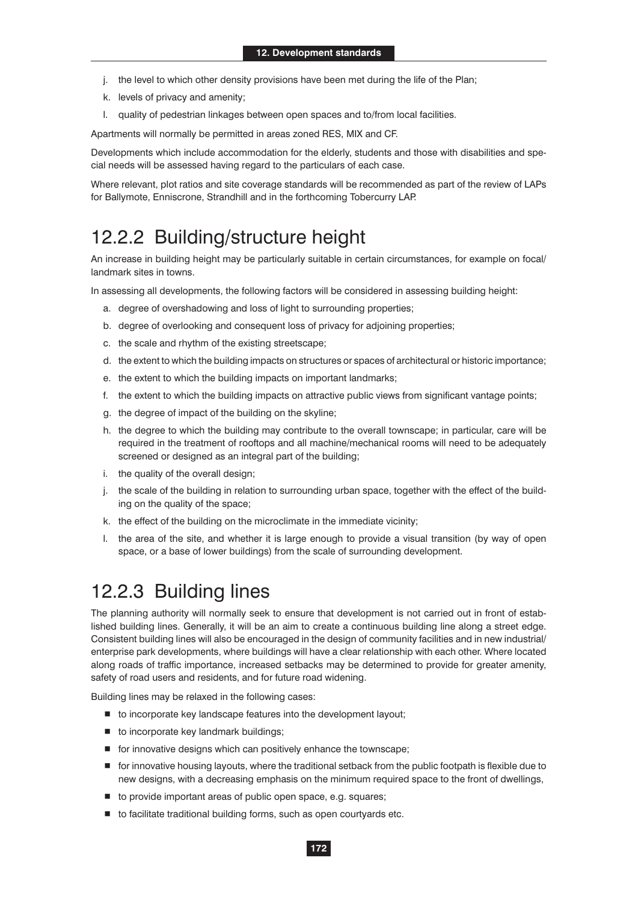- j. the level to which other density provisions have been met during the life of the Plan;
- k. levels of privacy and amenity;
- l. quality of pedestrian linkages between open spaces and to/from local facilities.

Apartments will normally be permitted in areas zoned RES, MIX and CF.

Developments which include accommodation for the elderly, students and those with disabilities and special needs will be assessed having regard to the particulars of each case.

Where relevant, plot ratios and site coverage standards will be recommended as part of the review of LAPs for Ballymote, Enniscrone, Strandhill and in the forthcoming Tobercurry LAP.

#### 12.2.2 Building/structure height

An increase in building height may be particularly suitable in certain circumstances, for example on focal/ landmark sites in towns.

In assessing all developments, the following factors will be considered in assessing building height:

- a. degree of overshadowing and loss of light to surrounding properties;
- b. degree of overlooking and consequent loss of privacy for adjoining properties;
- c. the scale and rhythm of the existing streetscape;
- d. the extent to which the building impacts on structures or spaces of architectural or historic importance;
- e. the extent to which the building impacts on important landmarks;
- f. the extent to which the building impacts on attractive public views from significant vantage points;
- g. the degree of impact of the building on the skyline;
- h. the degree to which the building may contribute to the overall townscape; in particular, care will be required in the treatment of rooftops and all machine/mechanical rooms will need to be adequately screened or designed as an integral part of the building;
- i. the quality of the overall design;
- j. the scale of the building in relation to surrounding urban space, together with the effect of the building on the quality of the space;
- k. the effect of the building on the microclimate in the immediate vicinity;
- l. the area of the site, and whether it is large enough to provide a visual transition (by way of open space, or a base of lower buildings) from the scale of surrounding development.

#### 12.2.3 Building lines

The planning authority will normally seek to ensure that development is not carried out in front of established building lines. Generally, it will be an aim to create a continuous building line along a street edge. Consistent building lines will also be encouraged in the design of community facilities and in new industrial/ enterprise park developments, where buildings will have a clear relationship with each other. Where located along roads of traffic importance, increased setbacks may be determined to provide for greater amenity, safety of road users and residents, and for future road widening.

Building lines may be relaxed in the following cases:

- $\blacksquare$  to incorporate key landscape features into the development layout;
- $\blacksquare$  to incorporate key landmark buildings;
- for innovative designs which can positively enhance the townscape;
- for innovative housing layouts, where the traditional setback from the public footpath is flexible due to new designs, with a decreasing emphasis on the minimum required space to the front of dwellings,
- to provide important areas of public open space, e.g. squares;
- to facilitate traditional building forms, such as open courtyards etc.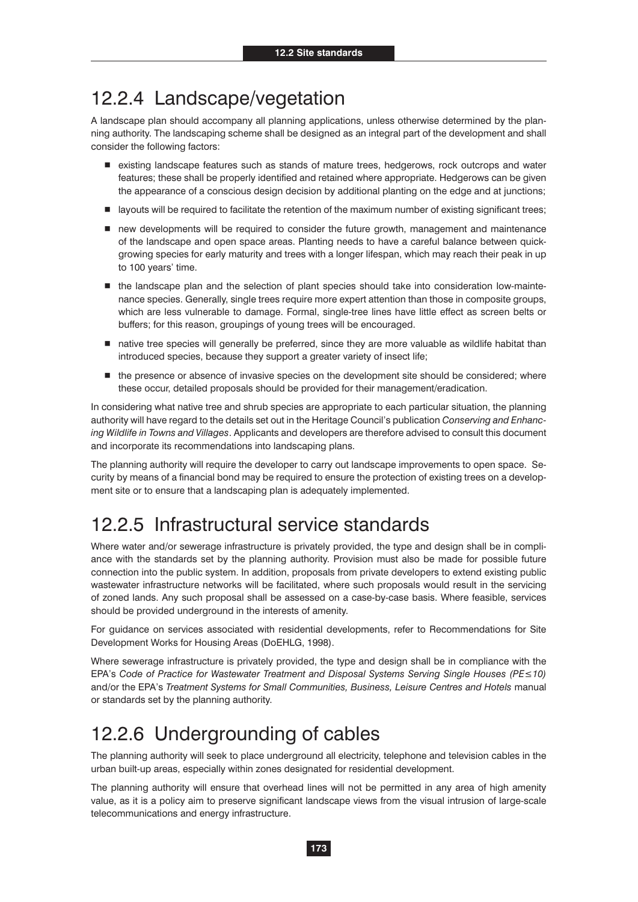#### 12.2.4 Landscape/vegetation

A landscape plan should accompany all planning applications, unless otherwise determined by the planning authority. The landscaping scheme shall be designed as an integral part of the development and shall consider the following factors:

- existing landscape features such as stands of mature trees, hedgerows, rock outcrops and water features; these shall be properly identified and retained where appropriate. Hedgerows can be given the appearance of a conscious design decision by additional planting on the edge and at junctions;
- layouts will be required to facilitate the retention of the maximum number of existing significant trees;
- new developments will be required to consider the future growth, management and maintenance of the landscape and open space areas. Planting needs to have a careful balance between quickgrowing species for early maturity and trees with a longer lifespan, which may reach their peak in up to 100 years' time.
- $\blacksquare$  the landscape plan and the selection of plant species should take into consideration low-maintenance species. Generally, single trees require more expert attention than those in composite groups, which are less vulnerable to damage. Formal, single-tree lines have little effect as screen belts or buffers; for this reason, groupings of young trees will be encouraged.
- native tree species will generally be preferred, since they are more valuable as wildlife habitat than introduced species, because they support a greater variety of insect life;
- $\blacksquare$  the presence or absence of invasive species on the development site should be considered; where these occur, detailed proposals should be provided for their management/eradication.

In considering what native tree and shrub species are appropriate to each particular situation, the planning authority will have regard to the details set out in the Heritage Council's publication *Conserving and Enhancing Wildlife in Towns and Villages*. Applicants and developers are therefore advised to consult this document and incorporate its recommendations into landscaping plans.

The planning authority will require the developer to carry out landscape improvements to open space. Security by means of a financial bond may be required to ensure the protection of existing trees on a development site or to ensure that a landscaping plan is adequately implemented.

#### 12.2.5 Infrastructural service standards

Where water and/or sewerage infrastructure is privately provided, the type and design shall be in compliance with the standards set by the planning authority. Provision must also be made for possible future connection into the public system. In addition, proposals from private developers to extend existing public wastewater infrastructure networks will be facilitated, where such proposals would result in the servicing of zoned lands. Any such proposal shall be assessed on a case-by-case basis. Where feasible, services should be provided underground in the interests of amenity.

For guidance on services associated with residential developments, refer to Recommendations for Site Development Works for Housing Areas (DoEHLG, 1998).

Where sewerage infrastructure is privately provided, the type and design shall be in compliance with the EPA's Code of Practice for Wastewater Treatment and Disposal Systems Serving Single Houses (PE 
in 0) and/or the EPA's *Treatment Systems for Small Communities, Business, Leisure Centres and Hotels* manual or standards set by the planning authority.

#### 12.2.6 Undergrounding of cables

The planning authority will seek to place underground all electricity, telephone and television cables in the urban built-up areas, especially within zones designated for residential development.

The planning authority will ensure that overhead lines will not be permitted in any area of high amenity value, as it is a policy aim to preserve significant landscape views from the visual intrusion of large-scale telecommunications and energy infrastructure.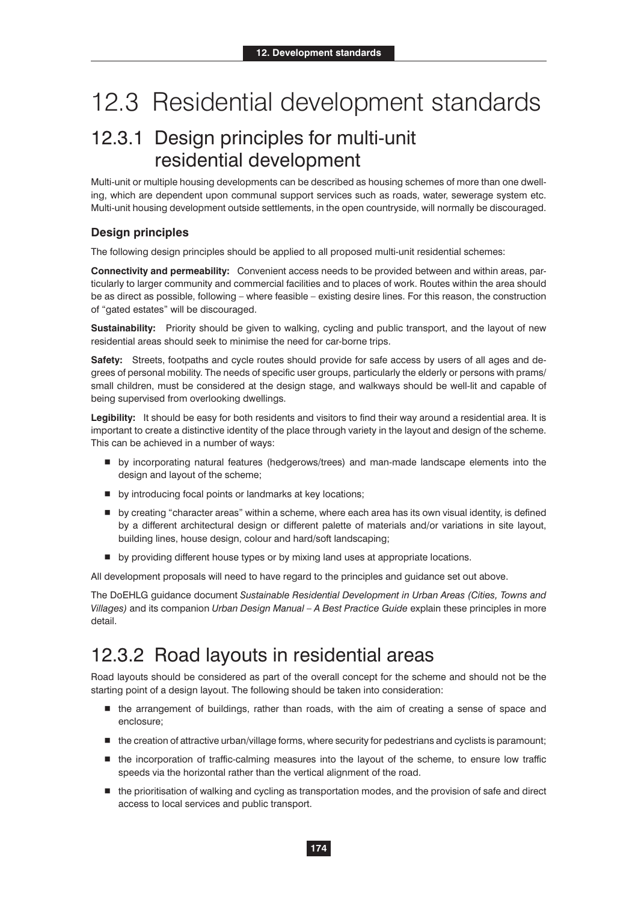# 12.3 Residential development standards

### 12.3.1 Design principles for multi-unit residential development

Multi-unit or multiple housing developments can be described as housing schemes of more than one dwelling, which are dependent upon communal support services such as roads, water, sewerage system etc. Multi-unit housing development outside settlements, in the open countryside, will normally be discouraged.

#### **Design principles**

The following design principles should be applied to all proposed multi-unit residential schemes:

**Connectivity and permeability:** Convenient access needs to be provided between and within areas, particularly to larger community and commercial facilities and to places of work. Routes within the area should be as direct as possible, following – where feasible – existing desire lines. For this reason, the construction of "gated estates" will be discouraged.

**Sustainability:** Priority should be given to walking, cycling and public transport, and the layout of new residential areas should seek to minimise the need for car-borne trips.

**Safety:** Streets, footpaths and cycle routes should provide for safe access by users of all ages and degrees of personal mobility. The needs of specific user groups, particularly the elderly or persons with prams/ small children, must be considered at the design stage, and walkways should be well-lit and capable of being supervised from overlooking dwellings.

**Legibility:** It should be easy for both residents and visitors to find their way around a residential area. It is important to create a distinctive identity of the place through variety in the layout and design of the scheme. This can be achieved in a number of ways:

- by incorporating natural features (hedgerows/trees) and man-made landscape elements into the design and layout of the scheme;
- by introducing focal points or landmarks at key locations;
- by creating "character areas" within a scheme, where each area has its own visual identity, is defined by a different architectural design or different palette of materials and/or variations in site layout, building lines, house design, colour and hard/soft landscaping;
- **D** by providing different house types or by mixing land uses at appropriate locations.

All development proposals will need to have regard to the principles and guidance set out above.

The DoEHLG guidance document *Sustainable Residential Development in Urban Areas (Cities, Towns and Villages)* and its companion *Urban Design Manual – A Best Practice Guide* explain these principles in more detail.

#### 12.3.2 Road layouts in residential areas

Road layouts should be considered as part of the overall concept for the scheme and should not be the starting point of a design layout. The following should be taken into consideration:

- $\blacksquare$  the arrangement of buildings, rather than roads, with the aim of creating a sense of space and enclosure;
- the creation of attractive urban/village forms, where security for pedestrians and cyclists is paramount;
- $\blacksquare$  the incorporation of traffic-calming measures into the layout of the scheme, to ensure low traffic speeds via the horizontal rather than the vertical alignment of the road.
- the prioritisation of walking and cycling as transportation modes, and the provision of safe and direct access to local services and public transport.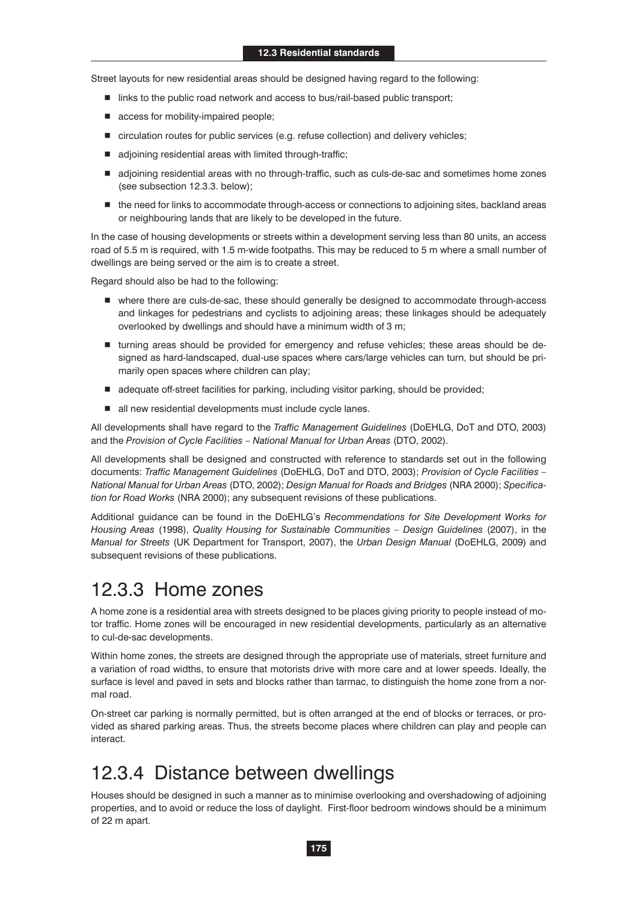Street layouts for new residential areas should be designed having regard to the following:

- links to the public road network and access to bus/rail-based public transport;
- access for mobility-impaired people;
- circulation routes for public services (e.g. refuse collection) and delivery vehicles;
- adjoining residential areas with limited through-traffic;
- adjoining residential areas with no through-traffic, such as culs-de-sac and sometimes home zones (see subsection 12.3.3. below);
- $\blacksquare$  the need for links to accommodate through-access or connections to adjoining sites, backland areas or neighbouring lands that are likely to be developed in the future.

In the case of housing developments or streets within a development serving less than 80 units, an access road of 5.5 m is required, with 1.5 m-wide footpaths. This may be reduced to 5 m where a small number of dwellings are being served or the aim is to create a street.

Regard should also be had to the following:

- where there are culs-de-sac, these should generally be designed to accommodate through-access and linkages for pedestrians and cyclists to adjoining areas; these linkages should be adequately overlooked by dwellings and should have a minimum width of 3 m;
- turning areas should be provided for emergency and refuse vehicles; these areas should be designed as hard-landscaped, dual-use spaces where cars/large vehicles can turn, but should be primarily open spaces where children can play;
- adequate off-street facilities for parking, including visitor parking, should be provided;
- all new residential developments must include cycle lanes.

All developments shall have regard to the *Traffic Management Guidelines* (DoEHLG, DoT and DTO, 2003) and the *Provision of Cycle Facilities – National Manual for Urban Areas* (DTO, 2002).

All developments shall be designed and constructed with reference to standards set out in the following documents: *Traffic Management Guidelines* (DoEHLG, DoT and DTO, 2003); *Provision of Cycle Facilities – National Manual for Urban Areas* (DTO, 2002); *Design Manual for Roads and Bridges* (NRA 2000); *Specification for Road Works* (NRA 2000); any subsequent revisions of these publications.

Additional guidance can be found in the DoEHLG's *Recommendations for Site Development Works for Housing Areas* (1998), *Quality Housing for Sustainable Communities – Design Guidelines* (2007), in the *Manual for Streets* (UK Department for Transport, 2007), the *Urban Design Manual* (DoEHLG, 2009) and subsequent revisions of these publications.

#### 12.3.3 Home zones

A home zone is a residential area with streets designed to be places giving priority to people instead of motor traffic. Home zones will be encouraged in new residential developments, particularly as an alternative to cul-de-sac developments.

Within home zones, the streets are designed through the appropriate use of materials, street furniture and a variation of road widths, to ensure that motorists drive with more care and at lower speeds. Ideally, the surface is level and paved in sets and blocks rather than tarmac, to distinguish the home zone from a normal road.

On-street car parking is normally permitted, but is often arranged at the end of blocks or terraces, or provided as shared parking areas. Thus, the streets become places where children can play and people can interact.

#### 12.3.4 Distance between dwellings

Houses should be designed in such a manner as to minimise overlooking and overshadowing of adjoining properties, and to avoid or reduce the loss of daylight. First-floor bedroom windows should be a minimum of 22 m apart.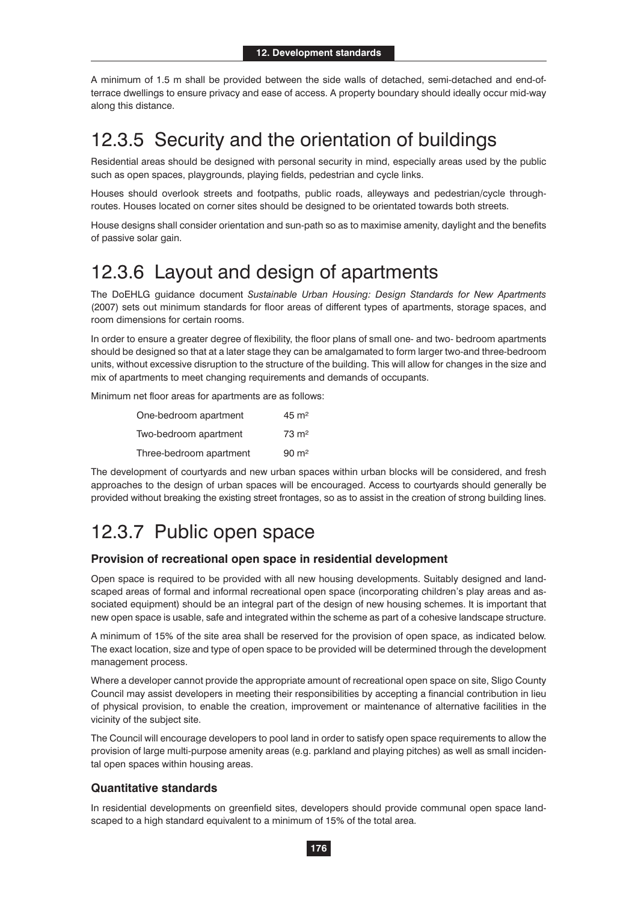A minimum of 1.5 m shall be provided between the side walls of detached, semi-detached and end-ofterrace dwellings to ensure privacy and ease of access. A property boundary should ideally occur mid-way along this distance.

#### 12.3.5 Security and the orientation of buildings

Residential areas should be designed with personal security in mind, especially areas used by the public such as open spaces, playgrounds, playing fields, pedestrian and cycle links.

Houses should overlook streets and footpaths, public roads, alleyways and pedestrian/cycle throughroutes. Houses located on corner sites should be designed to be orientated towards both streets.

House designs shall consider orientation and sun-path so as to maximise amenity, daylight and the benefits of passive solar gain.

#### 12.3.6 Layout and design of apartments

The DoEHLG guidance document *Sustainable Urban Housing: Design Standards for New Apartments*  (2007) sets out minimum standards for floor areas of different types of apartments, storage spaces, and room dimensions for certain rooms.

In order to ensure a greater degree of flexibility, the floor plans of small one- and two- bedroom apartments should be designed so that at a later stage they can be amalgamated to form larger two-and three-bedroom units, without excessive disruption to the structure of the building. This will allow for changes in the size and mix of apartments to meet changing requirements and demands of occupants.

Minimum net floor areas for apartments are as follows:

| One-bedroom apartment   | $45 \text{ m}^2$   |
|-------------------------|--------------------|
| Two-bedroom apartment   | $73 \text{ m}^2$   |
| Three-bedroom apartment | $90 \; \text{m}^2$ |

The development of courtyards and new urban spaces within urban blocks will be considered, and fresh approaches to the design of urban spaces will be encouraged. Access to courtyards should generally be provided without breaking the existing street frontages, so as to assist in the creation of strong building lines.

#### 12.3.7 Public open space

#### **Provision of recreational open space in residential development**

Open space is required to be provided with all new housing developments. Suitably designed and landscaped areas of formal and informal recreational open space (incorporating children's play areas and associated equipment) should be an integral part of the design of new housing schemes. It is important that new open space is usable, safe and integrated within the scheme as part of a cohesive landscape structure.

A minimum of 15% of the site area shall be reserved for the provision of open space, as indicated below. The exact location, size and type of open space to be provided will be determined through the development management process.

Where a developer cannot provide the appropriate amount of recreational open space on site, Sligo County Council may assist developers in meeting their responsibilities by accepting a financial contribution in lieu of physical provision, to enable the creation, improvement or maintenance of alternative facilities in the vicinity of the subject site.

The Council will encourage developers to pool land in order to satisfy open space requirements to allow the provision of large multi-purpose amenity areas (e.g. parkland and playing pitches) as well as small incidental open spaces within housing areas.

#### **Quantitative standards**

In residential developments on greenfield sites, developers should provide communal open space landscaped to a high standard equivalent to a minimum of 15% of the total area.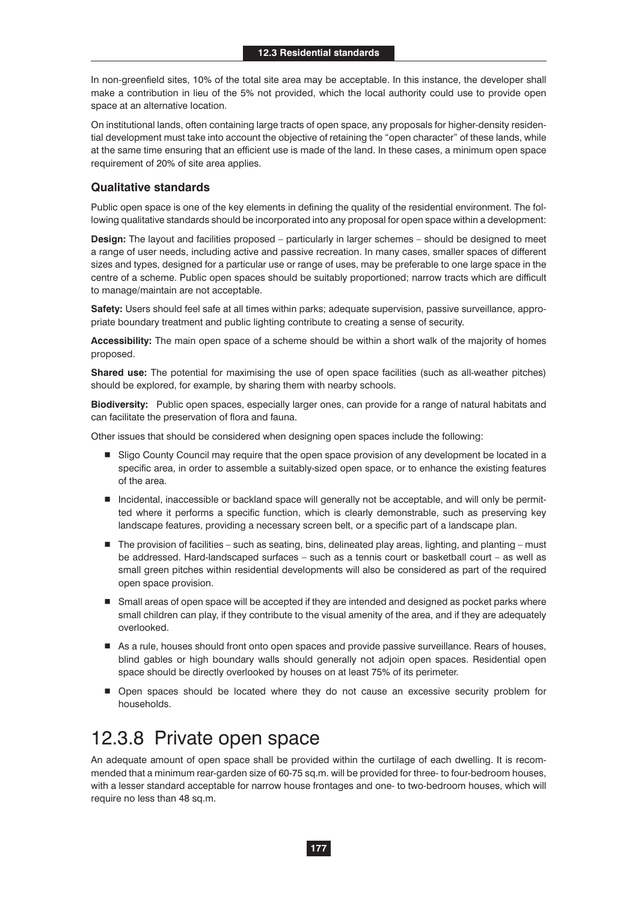In non-greenfield sites, 10% of the total site area may be acceptable. In this instance, the developer shall make a contribution in lieu of the 5% not provided, which the local authority could use to provide open space at an alternative location.

On institutional lands, often containing large tracts of open space, any proposals for higher-density residential development must take into account the objective of retaining the "open character" of these lands, while at the same time ensuring that an efficient use is made of the land. In these cases, a minimum open space requirement of 20% of site area applies.

#### **Qualitative standards**

Public open space is one of the key elements in defining the quality of the residential environment. The following qualitative standards should be incorporated into any proposal for open space within a development:

**Design:** The layout and facilities proposed – particularly in larger schemes – should be designed to meet a range of user needs, including active and passive recreation. In many cases, smaller spaces of different sizes and types, designed for a particular use or range of uses, may be preferable to one large space in the centre of a scheme. Public open spaces should be suitably proportioned; narrow tracts which are difficult to manage/maintain are not acceptable.

**Safety:** Users should feel safe at all times within parks; adequate supervision, passive surveillance, appropriate boundary treatment and public lighting contribute to creating a sense of security.

**Accessibility:** The main open space of a scheme should be within a short walk of the majority of homes proposed.

**Shared use:** The potential for maximising the use of open space facilities (such as all-weather pitches) should be explored, for example, by sharing them with nearby schools.

**Biodiversity:** Public open spaces, especially larger ones, can provide for a range of natural habitats and can facilitate the preservation of flora and fauna.

Other issues that should be considered when designing open spaces include the following:

- Sligo County Council may require that the open space provision of any development be located in a specific area, in order to assemble a suitably-sized open space, or to enhance the existing features of the area.
- Incidental, inaccessible or backland space will generally not be acceptable, and will only be permitted where it performs a specific function, which is clearly demonstrable, such as preserving key landscape features, providing a necessary screen belt, or a specific part of a landscape plan.
- The provision of facilities such as seating, bins, delineated play areas, lighting, and planting must be addressed. Hard-landscaped surfaces – such as a tennis court or basketball court – as well as small green pitches within residential developments will also be considered as part of the required open space provision.
- Small areas of open space will be accepted if they are intended and designed as pocket parks where small children can play, if they contribute to the visual amenity of the area, and if they are adequately overlooked.
- As a rule, houses should front onto open spaces and provide passive surveillance. Rears of houses, blind gables or high boundary walls should generally not adjoin open spaces. Residential open space should be directly overlooked by houses on at least 75% of its perimeter.
- **Den spaces should be located where they do not cause an excessive security problem for** households.

### 12.3.8 Private open space

An adequate amount of open space shall be provided within the curtilage of each dwelling. It is recommended that a minimum rear-garden size of 60-75 sq.m. will be provided for three- to four-bedroom houses, with a lesser standard acceptable for narrow house frontages and one- to two-bedroom houses, which will require no less than 48 sq.m.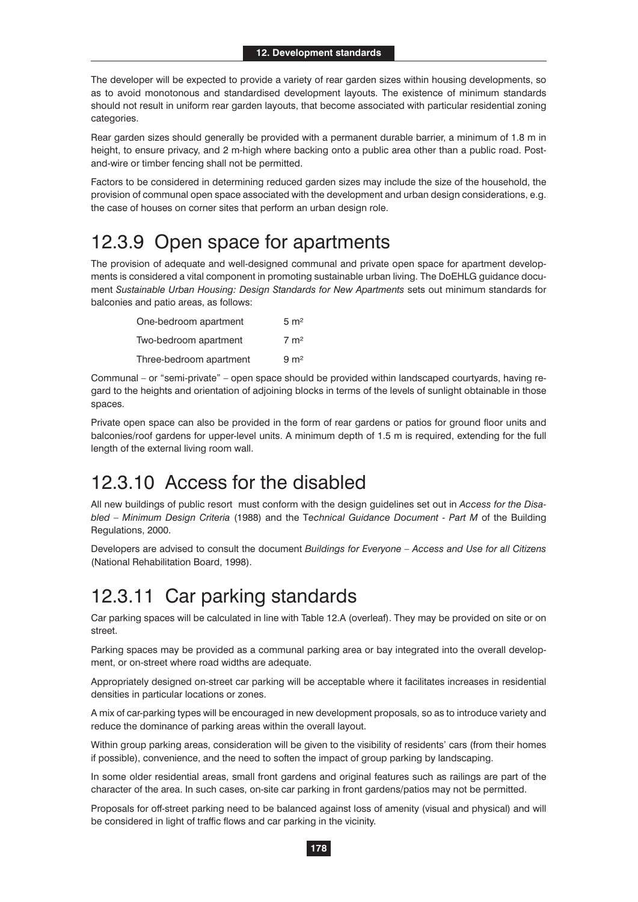The developer will be expected to provide a variety of rear garden sizes within housing developments, so as to avoid monotonous and standardised development layouts. The existence of minimum standards should not result in uniform rear garden layouts, that become associated with particular residential zoning categories.

Rear garden sizes should generally be provided with a permanent durable barrier, a minimum of 1.8 m in height, to ensure privacy, and 2 m-high where backing onto a public area other than a public road. Postand-wire or timber fencing shall not be permitted.

Factors to be considered in determining reduced garden sizes may include the size of the household, the provision of communal open space associated with the development and urban design considerations, e.g. the case of houses on corner sites that perform an urban design role.

#### 12.3.9 Open space for apartments

The provision of adequate and well-designed communal and private open space for apartment developments is considered a vital component in promoting sustainable urban living. The DoEHLG guidance document *Sustainable Urban Housing: Design Standards for New Apartments* sets out minimum standards for balconies and patio areas, as follows:

| One-bedroom apartment   | $5 \text{ m}^2$ |
|-------------------------|-----------------|
| Two-bedroom apartment   | $7 \text{ m}^2$ |
| Three-bedroom apartment | 9 <sub>m²</sub> |

Communal – or "semi-private" – open space should be provided within landscaped courtyards, having regard to the heights and orientation of adjoining blocks in terms of the levels of sunlight obtainable in those spaces.

Private open space can also be provided in the form of rear gardens or patios for ground floor units and balconies/roof gardens for upper-level units. A minimum depth of 1.5 m is required, extending for the full length of the external living room wall.

#### 12.3.10 Access for the disabled

All new buildings of public resort must conform with the design guidelines set out in *Access for the Disabled – Minimum Design Criteria* (1988) and the T*echnical Guidance Document - Part M* of the Building Regulations, 2000.

Developers are advised to consult the document *Buildings for Everyone – Access and Use for all Citizens*  (National Rehabilitation Board, 1998).

#### 12.3.11 Car parking standards

Car parking spaces will be calculated in line with Table 12.A (overleaf). They may be provided on site or on street.

Parking spaces may be provided as a communal parking area or bay integrated into the overall development, or on-street where road widths are adequate.

Appropriately designed on-street car parking will be acceptable where it facilitates increases in residential densities in particular locations or zones.

A mix of car-parking types will be encouraged in new development proposals, so as to introduce variety and reduce the dominance of parking areas within the overall layout.

Within group parking areas, consideration will be given to the visibility of residents' cars (from their homes if possible), convenience, and the need to soften the impact of group parking by landscaping.

In some older residential areas, small front gardens and original features such as railings are part of the character of the area. In such cases, on-site car parking in front gardens/patios may not be permitted.

Proposals for off-street parking need to be balanced against loss of amenity (visual and physical) and will be considered in light of traffic flows and car parking in the vicinity.

**178**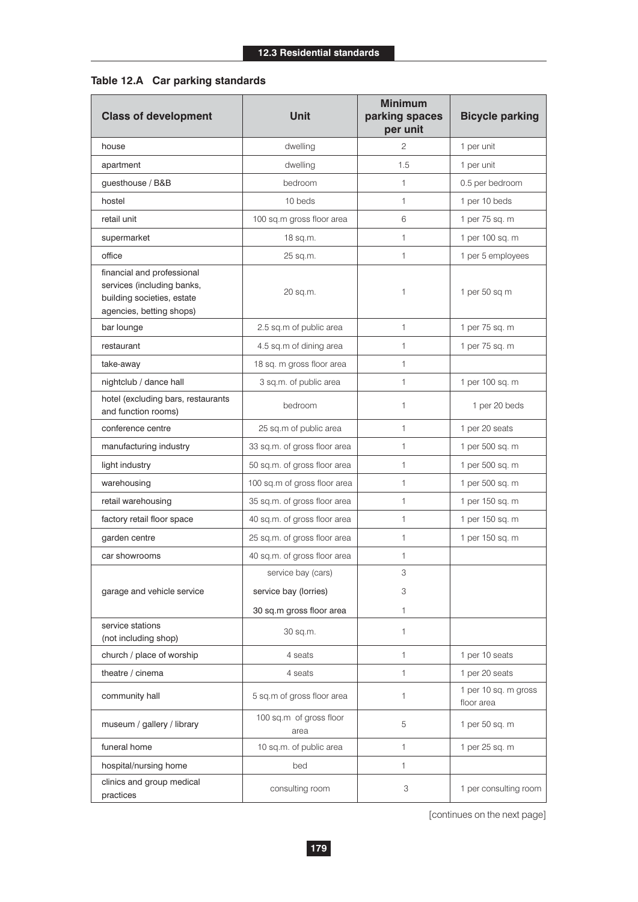#### **Table 12.A Car parking standards**

| <b>Class of development</b>                                                                                        | <b>Unit</b>                     | <b>Minimum</b><br>parking spaces<br>per unit | <b>Bicycle parking</b>             |  |
|--------------------------------------------------------------------------------------------------------------------|---------------------------------|----------------------------------------------|------------------------------------|--|
| house                                                                                                              | dwelling                        | $\overline{c}$                               | 1 per unit                         |  |
| apartment                                                                                                          | dwelling                        | 1.5                                          | 1 per unit                         |  |
| guesthouse / B&B                                                                                                   | bedroom                         | $\mathbf{1}$                                 | 0.5 per bedroom                    |  |
| hostel                                                                                                             | 10 beds                         | $\mathbf{1}$                                 | 1 per 10 beds                      |  |
| retail unit                                                                                                        | 100 sq.m gross floor area       | 6                                            | 1 per 75 sq. m                     |  |
| supermarket                                                                                                        | 18 sq.m.                        | $\mathbf{1}$                                 | 1 per 100 sq. m                    |  |
| office                                                                                                             | 25 sq.m.                        | $\mathbf{1}$                                 | 1 per 5 employees                  |  |
| financial and professional<br>services (including banks,<br>building societies, estate<br>agencies, betting shops) | 20 sq.m.                        | 1                                            | 1 per 50 sq m                      |  |
| bar lounge                                                                                                         | 2.5 sq.m of public area         | $\mathbf{1}$                                 | 1 per 75 sq. m                     |  |
| restaurant                                                                                                         | 4.5 sq.m of dining area         | $\mathbf{1}$                                 | 1 per 75 sq. m                     |  |
| take-away                                                                                                          | 18 sq. m gross floor area       | $\mathbf{1}$                                 |                                    |  |
| nightclub / dance hall                                                                                             | 3 sq.m. of public area          | $\mathbf{1}$                                 | 1 per 100 sq. m                    |  |
| hotel (excluding bars, restaurants<br>and function rooms)                                                          | bedroom                         | 1                                            | 1 per 20 beds                      |  |
| conference centre                                                                                                  | 25 sq.m of public area          | $\mathbf{1}$                                 | 1 per 20 seats                     |  |
| manufacturing industry                                                                                             | 33 sq.m. of gross floor area    | 1                                            | 1 per 500 sq. m                    |  |
| light industry                                                                                                     | 50 sq.m. of gross floor area    | $\mathbf{1}$                                 | 1 per 500 sq. m                    |  |
| warehousing                                                                                                        | 100 sq.m of gross floor area    | $\mathbf{1}$                                 | 1 per 500 sq. m                    |  |
| retail warehousing                                                                                                 | 35 sq.m. of gross floor area    | 1                                            | 1 per 150 sq. m                    |  |
| factory retail floor space                                                                                         | 40 sq.m. of gross floor area    | $\mathbf{1}$                                 | 1 per 150 sq. m                    |  |
| garden centre                                                                                                      | 25 sq.m. of gross floor area    | 1                                            | 1 per 150 sq. m                    |  |
| car showrooms                                                                                                      | 40 sq.m. of gross floor area    | 1                                            |                                    |  |
|                                                                                                                    | service bay (cars)              | 3                                            |                                    |  |
| garage and vehicle service                                                                                         | service bay (lorries)           | 3                                            |                                    |  |
|                                                                                                                    | 30 sq.m gross floor area        | 1                                            |                                    |  |
| service stations<br>(not including shop)                                                                           | 30 sq.m.                        | 1                                            |                                    |  |
| church / place of worship                                                                                          | 4 seats                         | $\mathbf{1}$                                 | 1 per 10 seats                     |  |
| theatre / cinema                                                                                                   | 4 seats                         | 1                                            | 1 per 20 seats                     |  |
| community hall                                                                                                     | 5 sq.m of gross floor area      | 1                                            | 1 per 10 sq. m gross<br>floor area |  |
| museum / gallery / library                                                                                         | 100 sq.m of gross floor<br>area | 5                                            | 1 per 50 sq. m                     |  |
| funeral home                                                                                                       | 10 sq.m. of public area         | 1                                            | 1 per 25 sq. m                     |  |
| hospital/nursing home                                                                                              | bed                             | $\mathbf{1}$                                 |                                    |  |
| clinics and group medical<br>practices                                                                             | consulting room                 | 3                                            | 1 per consulting room              |  |

[continues on the next page]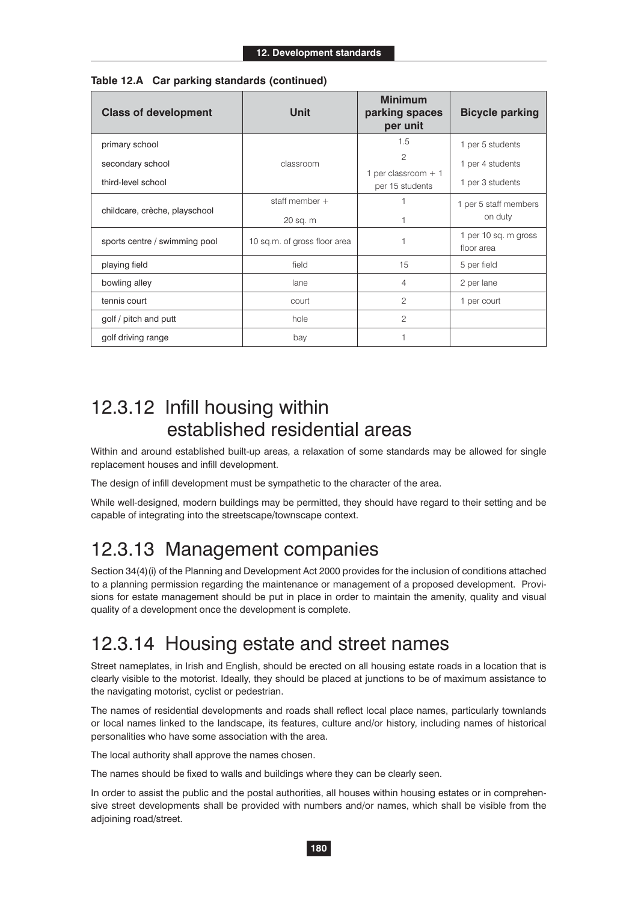| <b>Class of development</b>            | <b>Unit</b>                              | <b>Minimum</b><br>parking spaces<br>per unit | <b>Bicycle parking</b>               |
|----------------------------------------|------------------------------------------|----------------------------------------------|--------------------------------------|
| primary school                         |                                          | 1.5                                          | 1 per 5 students                     |
| secondary school<br>third-level school | classroom                                | 2<br>1 per classroom $+1$<br>per 15 students | 1 per 4 students<br>1 per 3 students |
| childcare, crèche, playschool          | staff member $+$                         |                                              | 1 per 5 staff members<br>on duty     |
| sports centre / swimming pool          | 20 sq. m<br>10 sq.m. of gross floor area |                                              | 1 per 10 sq. m gross<br>floor area   |
| playing field                          | field                                    | 15                                           | 5 per field                          |
| bowling alley                          | lane                                     | $\overline{4}$                               | 2 per lane                           |
| tennis court                           | court                                    | $\overline{c}$                               | 1 per court                          |
| golf / pitch and putt                  | hole                                     | $\overline{c}$                               |                                      |
| golf driving range                     | bay                                      | 1                                            |                                      |

|  |  |  | Table 12.A Car parking standards (continued) |
|--|--|--|----------------------------------------------|
|--|--|--|----------------------------------------------|

#### 12.3.12 Infill housing within established residential areas

Within and around established built-up areas, a relaxation of some standards may be allowed for single replacement houses and infill development.

The design of infill development must be sympathetic to the character of the area.

While well-designed, modern buildings may be permitted, they should have regard to their setting and be capable of integrating into the streetscape/townscape context.

### 12.3.13 Management companies

Section 34(4)(i) of the Planning and Development Act 2000 provides for the inclusion of conditions attached to a planning permission regarding the maintenance or management of a proposed development. Provisions for estate management should be put in place in order to maintain the amenity, quality and visual quality of a development once the development is complete.

#### 12.3.14 Housing estate and street names

Street nameplates, in Irish and English, should be erected on all housing estate roads in a location that is clearly visible to the motorist. Ideally, they should be placed at junctions to be of maximum assistance to the navigating motorist, cyclist or pedestrian.

The names of residential developments and roads shall reflect local place names, particularly townlands or local names linked to the landscape, its features, culture and/or history, including names of historical personalities who have some association with the area.

The local authority shall approve the names chosen.

The names should be fixed to walls and buildings where they can be clearly seen.

In order to assist the public and the postal authorities, all houses within housing estates or in comprehensive street developments shall be provided with numbers and/or names, which shall be visible from the adjoining road/street.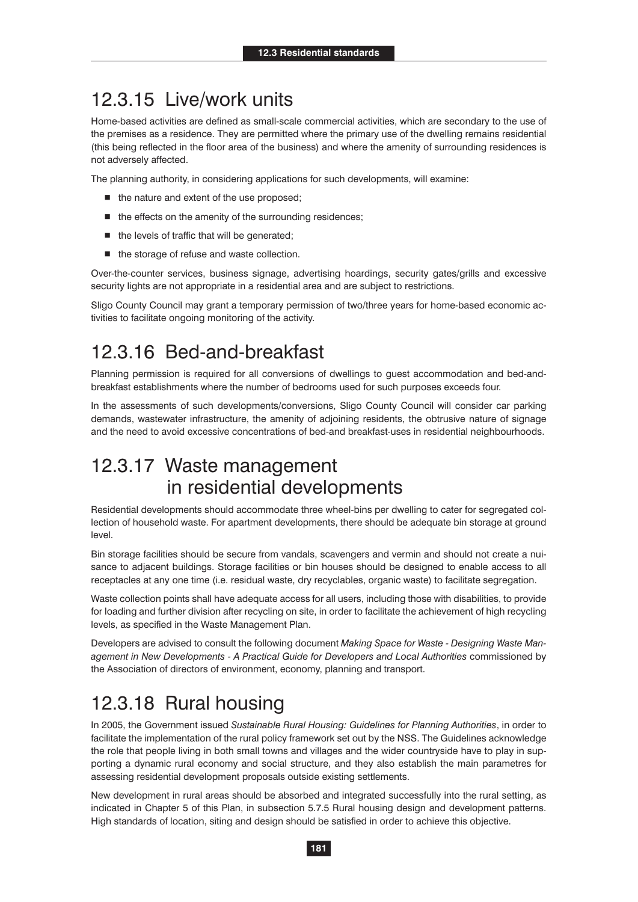#### 12.3.15 Live/work units

Home-based activities are defined as small-scale commercial activities, which are secondary to the use of the premises as a residence. They are permitted where the primary use of the dwelling remains residential (this being reflected in the floor area of the business) and where the amenity of surrounding residences is not adversely affected.

The planning authority, in considering applications for such developments, will examine:

- $\blacksquare$  the nature and extent of the use proposed;
- $\blacksquare$  the effects on the amenity of the surrounding residences;
- the levels of traffic that will be generated;
- $\blacksquare$  the storage of refuse and waste collection.

Over-the-counter services, business signage, advertising hoardings, security gates/grills and excessive security lights are not appropriate in a residential area and are subject to restrictions.

Sligo County Council may grant a temporary permission of two/three years for home-based economic activities to facilitate ongoing monitoring of the activity.

#### 12.3.16 Bed-and-breakfast

Planning permission is required for all conversions of dwellings to guest accommodation and bed-andbreakfast establishments where the number of bedrooms used for such purposes exceeds four.

In the assessments of such developments/conversions, Sligo County Council will consider car parking demands, wastewater infrastructure, the amenity of adjoining residents, the obtrusive nature of signage and the need to avoid excessive concentrations of bed-and breakfast-uses in residential neighbourhoods.

#### 12.3.17 Waste management in residential developments

Residential developments should accommodate three wheel-bins per dwelling to cater for segregated collection of household waste. For apartment developments, there should be adequate bin storage at ground level.

Bin storage facilities should be secure from vandals, scavengers and vermin and should not create a nuisance to adjacent buildings. Storage facilities or bin houses should be designed to enable access to all receptacles at any one time (i.e. residual waste, dry recyclables, organic waste) to facilitate segregation.

Waste collection points shall have adequate access for all users, including those with disabilities, to provide for loading and further division after recycling on site, in order to facilitate the achievement of high recycling levels, as specified in the Waste Management Plan.

Developers are advised to consult the following document *Making Space for Waste - Designing Waste Management in New Developments - A Practical Guide for Developers and Local Authorities* commissioned by the Association of directors of environment, economy, planning and transport.

### 12.3.18 Rural housing

In 2005, the Government issued *Sustainable Rural Housing: Guidelines for Planning Authorities*, in order to facilitate the implementation of the rural policy framework set out by the NSS. The Guidelines acknowledge the role that people living in both small towns and villages and the wider countryside have to play in supporting a dynamic rural economy and social structure, and they also establish the main parametres for assessing residential development proposals outside existing settlements.

New development in rural areas should be absorbed and integrated successfully into the rural setting, as indicated in Chapter 5 of this Plan, in subsection 5.7.5 Rural housing design and development patterns. High standards of location, siting and design should be satisfied in order to achieve this objective.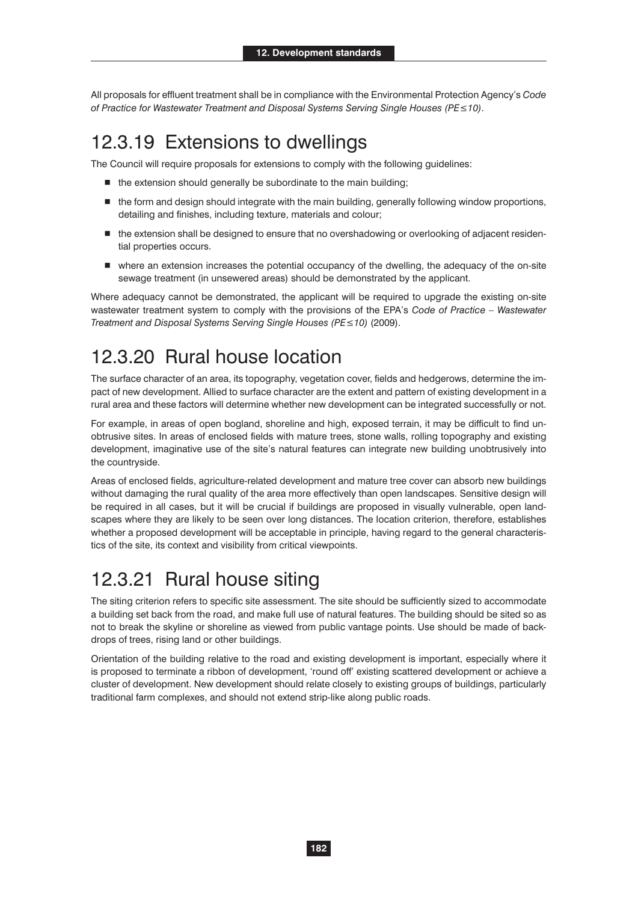All proposals for effluent treatment shall be in compliance with the Environmental Protection Agency's *Code*  of Practice for Wastewater Treatment and Disposal Systems Serving Single Houses (PE≤10).

#### 12.3.19 Extensions to dwellings

The Council will require proposals for extensions to comply with the following guidelines:

- $\blacksquare$  the extension should generally be subordinate to the main building;
- $\blacksquare$  the form and design should integrate with the main building, generally following window proportions, detailing and finishes, including texture, materials and colour;
- $\blacksquare$  the extension shall be designed to ensure that no overshadowing or overlooking of adjacent residential properties occurs.
- where an extension increases the potential occupancy of the dwelling, the adequacy of the on-site sewage treatment (in unsewered areas) should be demonstrated by the applicant.

Where adequacy cannot be demonstrated, the applicant will be required to upgrade the existing on-site wastewater treatment system to comply with the provisions of the EPA's *Code of Practice – Wastewater Treatment and Disposal Systems Serving Single Houses (PE≤10) (2009).* 

### 12.3.20 Rural house location

The surface character of an area, its topography, vegetation cover, fields and hedgerows, determine the impact of new development. Allied to surface character are the extent and pattern of existing development in a rural area and these factors will determine whether new development can be integrated successfully or not.

For example, in areas of open bogland, shoreline and high, exposed terrain, it may be difficult to find unobtrusive sites. In areas of enclosed fields with mature trees, stone walls, rolling topography and existing development, imaginative use of the site's natural features can integrate new building unobtrusively into the countryside.

Areas of enclosed fields, agriculture-related development and mature tree cover can absorb new buildings without damaging the rural quality of the area more effectively than open landscapes. Sensitive design will be required in all cases, but it will be crucial if buildings are proposed in visually vulnerable, open landscapes where they are likely to be seen over long distances. The location criterion, therefore, establishes whether a proposed development will be acceptable in principle, having regard to the general characteristics of the site, its context and visibility from critical viewpoints.

#### 12.3.21 Rural house siting

The siting criterion refers to specific site assessment. The site should be sufficiently sized to accommodate a building set back from the road, and make full use of natural features. The building should be sited so as not to break the skyline or shoreline as viewed from public vantage points. Use should be made of backdrops of trees, rising land or other buildings.

Orientation of the building relative to the road and existing development is important, especially where it is proposed to terminate a ribbon of development, 'round off' existing scattered development or achieve a cluster of development. New development should relate closely to existing groups of buildings, particularly traditional farm complexes, and should not extend strip-like along public roads.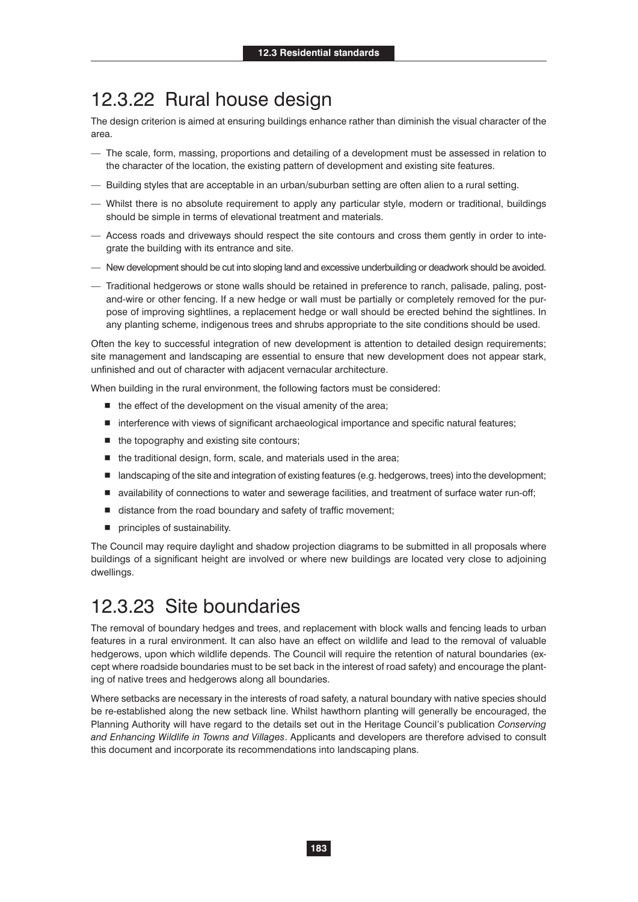#### 12.3.22 Rural house design

The design criterion is aimed at ensuring buildings enhance rather than diminish the visual character of the area.

- The scale, form, massing, proportions and detailing of a development must be assessed in relation to the character of the location, the existing pattern of development and existing site features.
- Building styles that are acceptable in an urban/suburban setting are often alien to a rural setting.
- Whilst there is no absolute requirement to apply any particular style, modern or traditional, buildings should be simple in terms of elevational treatment and materials.
- Access roads and driveways should respect the site contours and cross them gently in order to integrate the building with its entrance and site.
- New development should be cut into sloping land and excessive underbuilding or deadwork should be avoided.
- Traditional hedgerows or stone walls should be retained in preference to ranch, palisade, paling, postand-wire or other fencing. If a new hedge or wall must be partially or completely removed for the purpose of improving sightlines, a replacement hedge or wall should be erected behind the sightlines. In any planting scheme, indigenous trees and shrubs appropriate to the site conditions should be used.

Often the key to successful integration of new development is attention to detailed design requirements; site management and landscaping are essential to ensure that new development does not appear stark, unfinished and out of character with adjacent vernacular architecture.

When building in the rural environment, the following factors must be considered:

- $\blacksquare$  the effect of the development on the visual amenity of the area;
- interference with views of significant archaeological importance and specific natural features;
- $\blacksquare$  the topography and existing site contours;
- the traditional design, form, scale, and materials used in the area;
- landscaping of the site and integration of existing features (e.g. hedgerows, trees) into the development;
- availability of connections to water and sewerage facilities, and treatment of surface water run-off;
- distance from the road boundary and safety of traffic movement;
- $\blacksquare$  principles of sustainability.

The Council may require daylight and shadow projection diagrams to be submitted in all proposals where buildings of a significant height are involved or where new buildings are located very close to adjoining dwellings.

#### 12.3.23 Site boundaries

The removal of boundary hedges and trees, and replacement with block walls and fencing leads to urban features in a rural environment. It can also have an effect on wildlife and lead to the removal of valuable hedgerows, upon which wildlife depends. The Council will require the retention of natural boundaries (except where roadside boundaries must to be set back in the interest of road safety) and encourage the planting of native trees and hedgerows along all boundaries.

Where setbacks are necessary in the interests of road safety, a natural boundary with native species should be re-established along the new setback line. Whilst hawthorn planting will generally be encouraged, the Planning Authority will have regard to the details set out in the Heritage Council's publication *Conserving and Enhancing Wildlife in Towns and Villages*. Applicants and developers are therefore advised to consult this document and incorporate its recommendations into landscaping plans.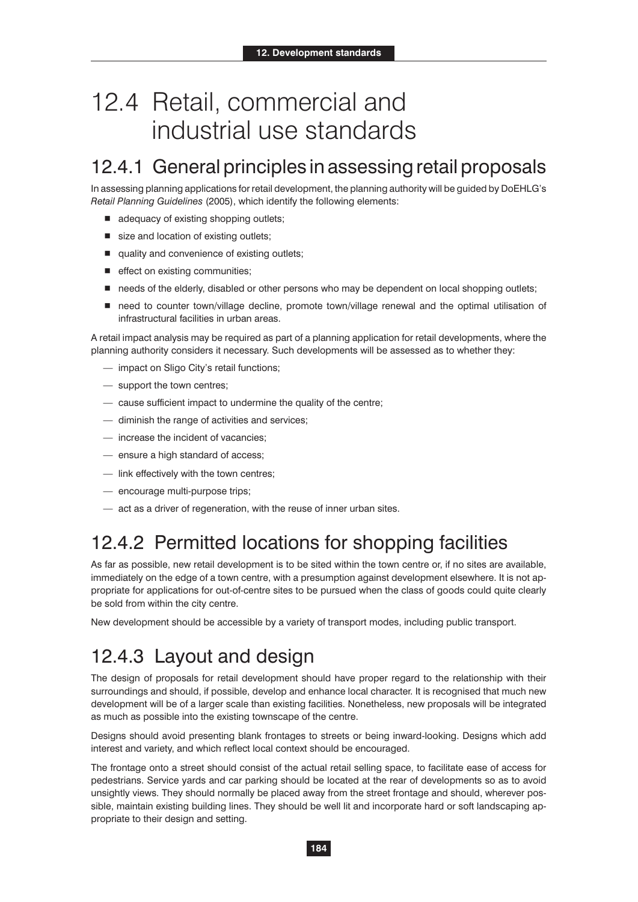# 12.4 Retail, commercial and industrial use standards

### 12.4.1 General principles in assessing retail proposals

In assessing planning applications for retail development, the planning authority will be guided by DoEHLG's *Retail Planning Guidelines* (2005), which identify the following elements:

- adequacy of existing shopping outlets;
- size and location of existing outlets;
- quality and convenience of existing outlets;
- $\blacksquare$  effect on existing communities;
- needs of the elderly, disabled or other persons who may be dependent on local shopping outlets;
- need to counter town/village decline, promote town/village renewal and the optimal utilisation of infrastructural facilities in urban areas.

A retail impact analysis may be required as part of a planning application for retail developments, where the planning authority considers it necessary. Such developments will be assessed as to whether they:

- impact on Sligo City's retail functions;
- support the town centres;
- cause sufficient impact to undermine the quality of the centre;
- diminish the range of activities and services;
- increase the incident of vacancies;
- ensure a high standard of access;
- link effectively with the town centres;
- encourage multi-purpose trips;
- act as a driver of regeneration, with the reuse of inner urban sites.

#### 12.4.2 Permitted locations for shopping facilities

As far as possible, new retail development is to be sited within the town centre or, if no sites are available, immediately on the edge of a town centre, with a presumption against development elsewhere. It is not appropriate for applications for out-of-centre sites to be pursued when the class of goods could quite clearly be sold from within the city centre.

New development should be accessible by a variety of transport modes, including public transport.

#### 12.4.3 Layout and design

The design of proposals for retail development should have proper regard to the relationship with their surroundings and should, if possible, develop and enhance local character. It is recognised that much new development will be of a larger scale than existing facilities. Nonetheless, new proposals will be integrated as much as possible into the existing townscape of the centre.

Designs should avoid presenting blank frontages to streets or being inward-looking. Designs which add interest and variety, and which reflect local context should be encouraged.

The frontage onto a street should consist of the actual retail selling space, to facilitate ease of access for pedestrians. Service yards and car parking should be located at the rear of developments so as to avoid unsightly views. They should normally be placed away from the street frontage and should, wherever possible, maintain existing building lines. They should be well lit and incorporate hard or soft landscaping appropriate to their design and setting.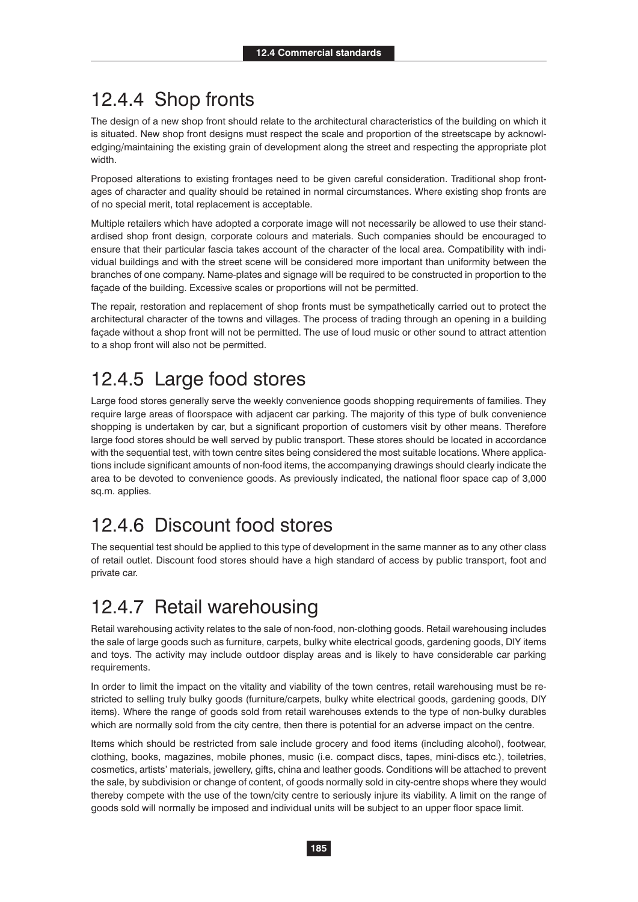### 12.4.4 Shop fronts

The design of a new shop front should relate to the architectural characteristics of the building on which it is situated. New shop front designs must respect the scale and proportion of the streetscape by acknowledging/maintaining the existing grain of development along the street and respecting the appropriate plot width.

Proposed alterations to existing frontages need to be given careful consideration. Traditional shop frontages of character and quality should be retained in normal circumstances. Where existing shop fronts are of no special merit, total replacement is acceptable.

Multiple retailers which have adopted a corporate image will not necessarily be allowed to use their standardised shop front design, corporate colours and materials. Such companies should be encouraged to ensure that their particular fascia takes account of the character of the local area. Compatibility with individual buildings and with the street scene will be considered more important than uniformity between the branches of one company. Name-plates and signage will be required to be constructed in proportion to the façade of the building. Excessive scales or proportions will not be permitted.

The repair, restoration and replacement of shop fronts must be sympathetically carried out to protect the architectural character of the towns and villages. The process of trading through an opening in a building façade without a shop front will not be permitted. The use of loud music or other sound to attract attention to a shop front will also not be permitted.

### 12.4.5 Large food stores

Large food stores generally serve the weekly convenience goods shopping requirements of families. They require large areas of floorspace with adjacent car parking. The majority of this type of bulk convenience shopping is undertaken by car, but a significant proportion of customers visit by other means. Therefore large food stores should be well served by public transport. These stores should be located in accordance with the sequential test, with town centre sites being considered the most suitable locations. Where applications include significant amounts of non-food items, the accompanying drawings should clearly indicate the area to be devoted to convenience goods. As previously indicated, the national floor space cap of 3,000 sq.m. applies.

### 12.4.6 Discount food stores

The sequential test should be applied to this type of development in the same manner as to any other class of retail outlet. Discount food stores should have a high standard of access by public transport, foot and private car.

### 12.4.7 Retail warehousing

Retail warehousing activity relates to the sale of non-food, non-clothing goods. Retail warehousing includes the sale of large goods such as furniture, carpets, bulky white electrical goods, gardening goods, DIY items and toys. The activity may include outdoor display areas and is likely to have considerable car parking requirements.

In order to limit the impact on the vitality and viability of the town centres, retail warehousing must be restricted to selling truly bulky goods (furniture/carpets, bulky white electrical goods, gardening goods, DIY items). Where the range of goods sold from retail warehouses extends to the type of non-bulky durables which are normally sold from the city centre, then there is potential for an adverse impact on the centre.

Items which should be restricted from sale include grocery and food items (including alcohol), footwear, clothing, books, magazines, mobile phones, music (i.e. compact discs, tapes, mini-discs etc.), toiletries, cosmetics, artists' materials, jewellery, gifts, china and leather goods. Conditions will be attached to prevent the sale, by subdivision or change of content, of goods normally sold in city-centre shops where they would thereby compete with the use of the town/city centre to seriously injure its viability. A limit on the range of goods sold will normally be imposed and individual units will be subject to an upper floor space limit.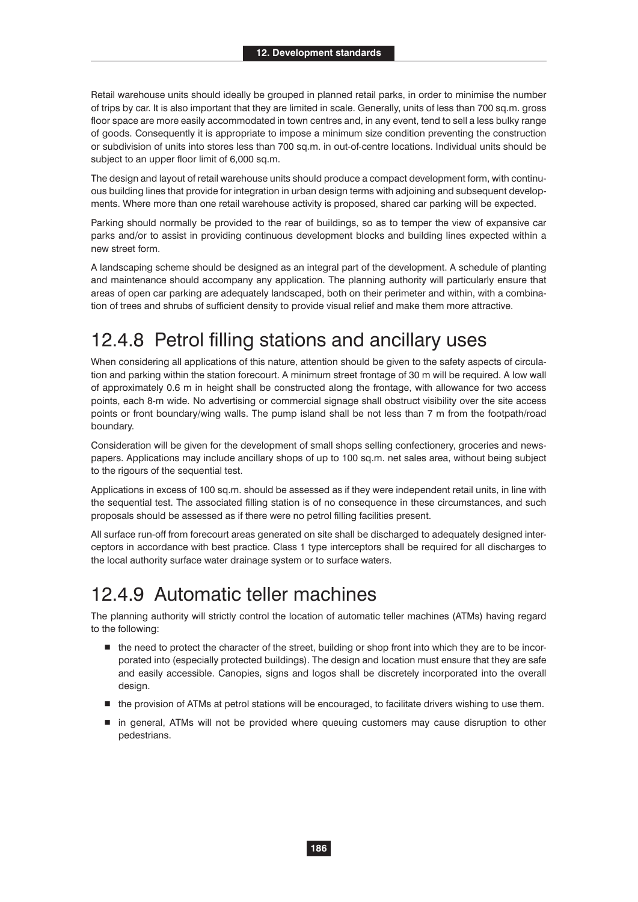Retail warehouse units should ideally be grouped in planned retail parks, in order to minimise the number of trips by car. It is also important that they are limited in scale. Generally, units of less than 700 sq.m. gross floor space are more easily accommodated in town centres and, in any event, tend to sell a less bulky range of goods. Consequently it is appropriate to impose a minimum size condition preventing the construction or subdivision of units into stores less than 700 sq.m. in out-of-centre locations. Individual units should be subject to an upper floor limit of 6,000 sq.m.

The design and layout of retail warehouse units should produce a compact development form, with continuous building lines that provide for integration in urban design terms with adjoining and subsequent developments. Where more than one retail warehouse activity is proposed, shared car parking will be expected.

Parking should normally be provided to the rear of buildings, so as to temper the view of expansive car parks and/or to assist in providing continuous development blocks and building lines expected within a new street form.

A landscaping scheme should be designed as an integral part of the development. A schedule of planting and maintenance should accompany any application. The planning authority will particularly ensure that areas of open car parking are adequately landscaped, both on their perimeter and within, with a combination of trees and shrubs of sufficient density to provide visual relief and make them more attractive.

### 12.4.8 Petrol filling stations and ancillary uses

When considering all applications of this nature, attention should be given to the safety aspects of circulation and parking within the station forecourt. A minimum street frontage of 30 m will be required. A low wall of approximately 0.6 m in height shall be constructed along the frontage, with allowance for two access points, each 8-m wide. No advertising or commercial signage shall obstruct visibility over the site access points or front boundary/wing walls. The pump island shall be not less than 7 m from the footpath/road boundary.

Consideration will be given for the development of small shops selling confectionery, groceries and newspapers. Applications may include ancillary shops of up to 100 sq.m. net sales area, without being subject to the rigours of the sequential test.

Applications in excess of 100 sq.m. should be assessed as if they were independent retail units, in line with the sequential test. The associated filling station is of no consequence in these circumstances, and such proposals should be assessed as if there were no petrol filling facilities present.

All surface run-off from forecourt areas generated on site shall be discharged to adequately designed interceptors in accordance with best practice. Class 1 type interceptors shall be required for all discharges to the local authority surface water drainage system or to surface waters.

#### 12.4.9 Automatic teller machines

The planning authority will strictly control the location of automatic teller machines (ATMs) having regard to the following:

- the need to protect the character of the street, building or shop front into which they are to be incorporated into (especially protected buildings). The design and location must ensure that they are safe and easily accessible. Canopies, signs and logos shall be discretely incorporated into the overall design.
- the provision of ATMs at petrol stations will be encouraged, to facilitate drivers wishing to use them.
- $\blacksquare$  in general, ATMs will not be provided where queuing customers may cause disruption to other pedestrians.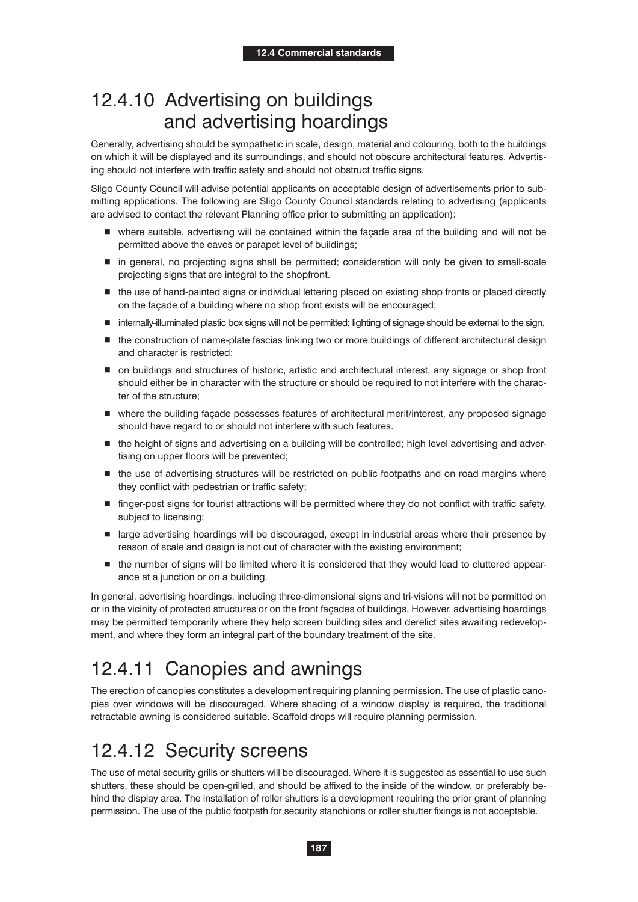#### 12.4.10 Advertising on buildings and advertising hoardings

Generally, advertising should be sympathetic in scale, design, material and colouring, both to the buildings on which it will be displayed and its surroundings, and should not obscure architectural features. Advertising should not interfere with traffic safety and should not obstruct traffic signs.

Sligo County Council will advise potential applicants on acceptable design of advertisements prior to submitting applications. The following are Sligo County Council standards relating to advertising (applicants are advised to contact the relevant Planning office prior to submitting an application):

- where suitable, advertising will be contained within the façade area of the building and will not be permitted above the eaves or parapet level of buildings;
- in general, no projecting signs shall be permitted; consideration will only be given to small-scale projecting signs that are integral to the shopfront.
- the use of hand-painted signs or individual lettering placed on existing shop fronts or placed directly on the façade of a building where no shop front exists will be encouraged;
- internally-illuminated plastic box signs will not be permitted; lighting of signage should be external to the sign.
- $\blacksquare$  the construction of name-plate fascias linking two or more buildings of different architectural design and character is restricted;
- on buildings and structures of historic, artistic and architectural interest, any signage or shop front should either be in character with the structure or should be required to not interfere with the character of the structure;
- where the building façade possesses features of architectural merit/interest, any proposed signage should have regard to or should not interfere with such features.
- the height of signs and advertising on a building will be controlled; high level advertising and advertising on upper floors will be prevented;
- $\blacksquare$  the use of advertising structures will be restricted on public footpaths and on road margins where they conflict with pedestrian or traffic safety;
- finger-post signs for tourist attractions will be permitted where they do not conflict with traffic safety. subject to licensing;
- large advertising hoardings will be discouraged, except in industrial areas where their presence by reason of scale and design is not out of character with the existing environment;
- $\blacksquare$  the number of signs will be limited where it is considered that they would lead to cluttered appearance at a junction or on a building.

In general, advertising hoardings, including three-dimensional signs and tri-visions will not be permitted on or in the vicinity of protected structures or on the front façades of buildings. However, advertising hoardings may be permitted temporarily where they help screen building sites and derelict sites awaiting redevelopment, and where they form an integral part of the boundary treatment of the site.

### 12.4.11 Canopies and awnings

The erection of canopies constitutes a development requiring planning permission. The use of plastic canopies over windows will be discouraged. Where shading of a window display is required, the traditional retractable awning is considered suitable. Scaffold drops will require planning permission.

### 12.4.12 Security screens

The use of metal security grills or shutters will be discouraged. Where it is suggested as essential to use such shutters, these should be open-grilled, and should be affixed to the inside of the window, or preferably behind the display area. The installation of roller shutters is a development requiring the prior grant of planning permission. The use of the public footpath for security stanchions or roller shutter fixings is not acceptable.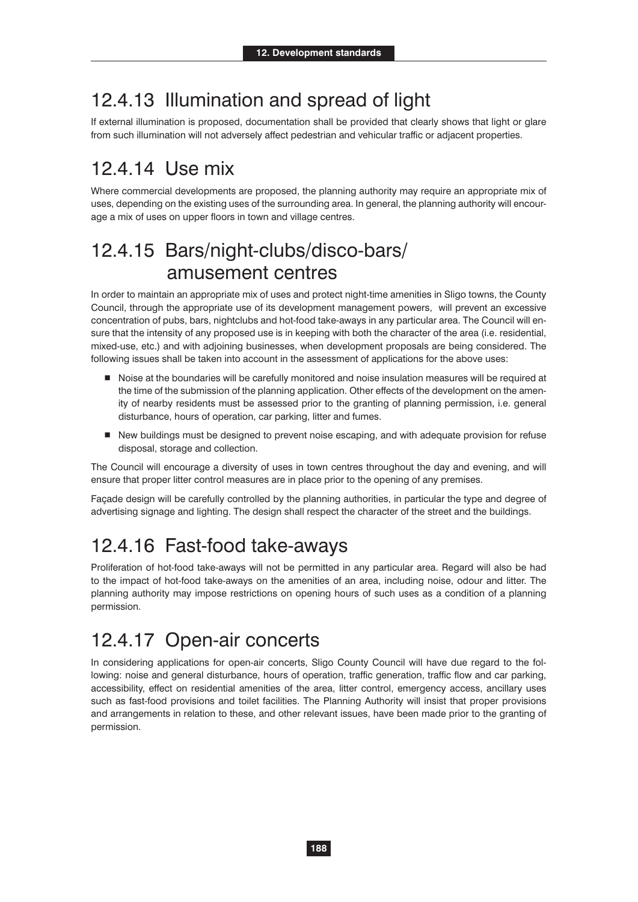### 12.4.13 Illumination and spread of light

If external illumination is proposed, documentation shall be provided that clearly shows that light or glare from such illumination will not adversely affect pedestrian and vehicular traffic or adjacent properties.

### 12.4.14 Use mix

Where commercial developments are proposed, the planning authority may require an appropriate mix of uses, depending on the existing uses of the surrounding area. In general, the planning authority will encourage a mix of uses on upper floors in town and village centres.

### 12.4.15 Bars/night-clubs/disco-bars/ amusement centres

In order to maintain an appropriate mix of uses and protect night-time amenities in Sligo towns, the County Council, through the appropriate use of its development management powers, will prevent an excessive concentration of pubs, bars, nightclubs and hot-food take-aways in any particular area. The Council will ensure that the intensity of any proposed use is in keeping with both the character of the area (i.e. residential, mixed-use, etc.) and with adjoining businesses, when development proposals are being considered. The following issues shall be taken into account in the assessment of applications for the above uses:

- Noise at the boundaries will be carefully monitored and noise insulation measures will be required at the time of the submission of the planning application. Other effects of the development on the amenity of nearby residents must be assessed prior to the granting of planning permission, i.e. general disturbance, hours of operation, car parking, litter and fumes.
- - New buildings must be designed to prevent noise escaping, and with adequate provision for refuse disposal, storage and collection.

The Council will encourage a diversity of uses in town centres throughout the day and evening, and will ensure that proper litter control measures are in place prior to the opening of any premises.

Façade design will be carefully controlled by the planning authorities, in particular the type and degree of advertising signage and lighting. The design shall respect the character of the street and the buildings.

### 12.4.16 Fast-food take-aways

Proliferation of hot-food take-aways will not be permitted in any particular area. Regard will also be had to the impact of hot-food take-aways on the amenities of an area, including noise, odour and litter. The planning authority may impose restrictions on opening hours of such uses as a condition of a planning permission.

### 12.4.17 Open-air concerts

In considering applications for open-air concerts, Sligo County Council will have due regard to the following: noise and general disturbance, hours of operation, traffic generation, traffic flow and car parking, accessibility, effect on residential amenities of the area, litter control, emergency access, ancillary uses such as fast-food provisions and toilet facilities. The Planning Authority will insist that proper provisions and arrangements in relation to these, and other relevant issues, have been made prior to the granting of permission.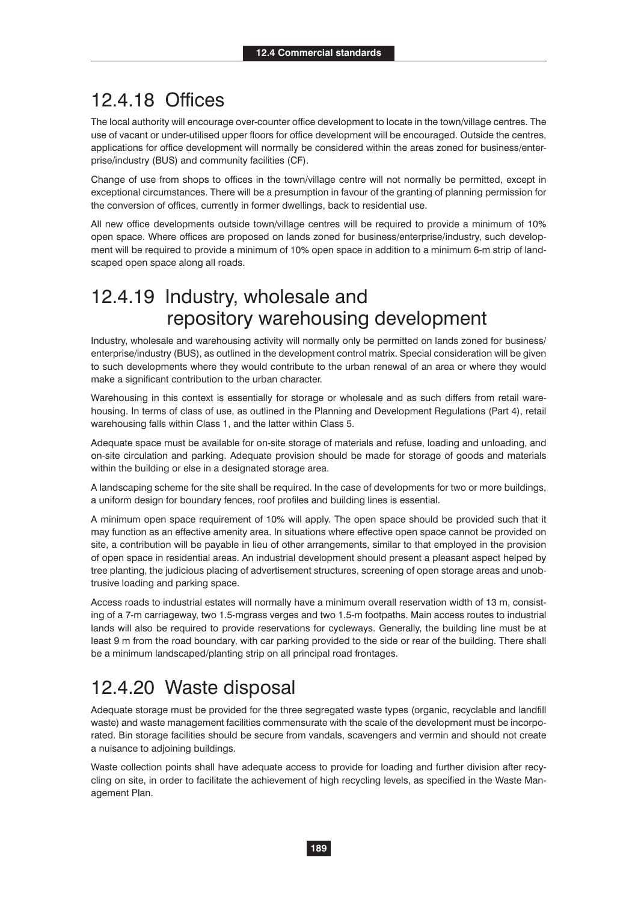#### 12.4.18 Offices

The local authority will encourage over-counter office development to locate in the town/village centres. The use of vacant or under-utilised upper floors for office development will be encouraged. Outside the centres, applications for office development will normally be considered within the areas zoned for business/enterprise/industry (BUS) and community facilities (CF).

Change of use from shops to offices in the town/village centre will not normally be permitted, except in exceptional circumstances. There will be a presumption in favour of the granting of planning permission for the conversion of offices, currently in former dwellings, back to residential use.

All new office developments outside town/village centres will be required to provide a minimum of 10% open space. Where offices are proposed on lands zoned for business/enterprise/industry, such development will be required to provide a minimum of 10% open space in addition to a minimum 6-m strip of landscaped open space along all roads.

#### 12.4.19 Industry, wholesale and repository warehousing development

Industry, wholesale and warehousing activity will normally only be permitted on lands zoned for business/ enterprise/industry (BUS), as outlined in the development control matrix. Special consideration will be given to such developments where they would contribute to the urban renewal of an area or where they would make a significant contribution to the urban character.

Warehousing in this context is essentially for storage or wholesale and as such differs from retail warehousing. In terms of class of use, as outlined in the Planning and Development Regulations (Part 4), retail warehousing falls within Class 1, and the latter within Class 5.

Adequate space must be available for on-site storage of materials and refuse, loading and unloading, and on-site circulation and parking. Adequate provision should be made for storage of goods and materials within the building or else in a designated storage area.

A landscaping scheme for the site shall be required. In the case of developments for two or more buildings, a uniform design for boundary fences, roof profiles and building lines is essential.

A minimum open space requirement of 10% will apply. The open space should be provided such that it may function as an effective amenity area. In situations where effective open space cannot be provided on site, a contribution will be payable in lieu of other arrangements, similar to that employed in the provision of open space in residential areas. An industrial development should present a pleasant aspect helped by tree planting, the judicious placing of advertisement structures, screening of open storage areas and unobtrusive loading and parking space.

Access roads to industrial estates will normally have a minimum overall reservation width of 13 m, consisting of a 7-m carriageway, two 1.5-mgrass verges and two 1.5-m footpaths. Main access routes to industrial lands will also be required to provide reservations for cycleways. Generally, the building line must be at least 9 m from the road boundary, with car parking provided to the side or rear of the building. There shall be a minimum landscaped/planting strip on all principal road frontages.

#### 12.4.20 Waste disposal

Adequate storage must be provided for the three segregated waste types (organic, recyclable and landfill waste) and waste management facilities commensurate with the scale of the development must be incorporated. Bin storage facilities should be secure from vandals, scavengers and vermin and should not create a nuisance to adjoining buildings.

Waste collection points shall have adequate access to provide for loading and further division after recycling on site, in order to facilitate the achievement of high recycling levels, as specified in the Waste Management Plan.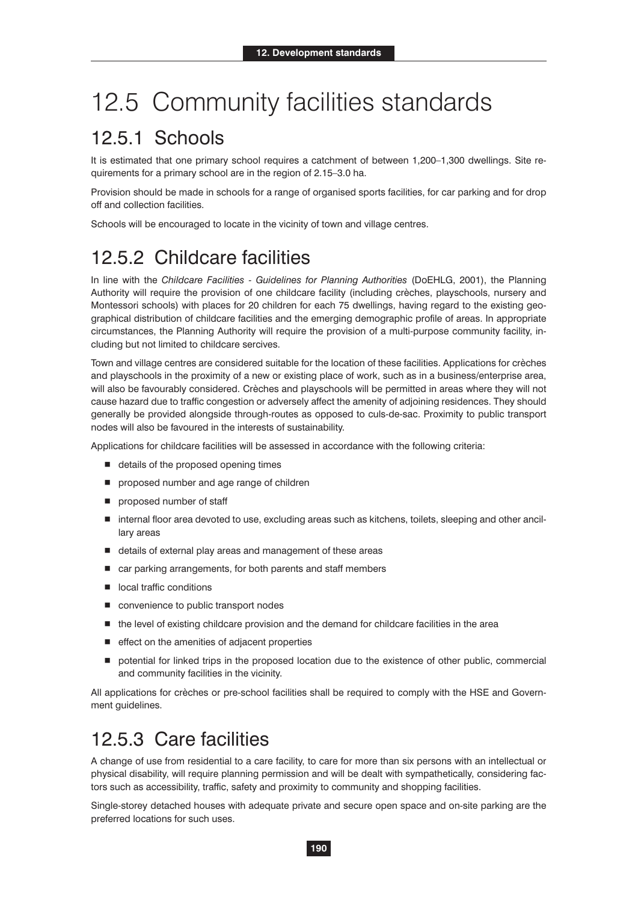# 12.5 Community facilities standards

#### 12.5.1 Schools

It is estimated that one primary school requires a catchment of between 1,200-1,300 dwellings. Site requirements for a primary school are in the region of 2.15–3.0 ha.

Provision should be made in schools for a range of organised sports facilities, for car parking and for drop off and collection facilities.

Schools will be encouraged to locate in the vicinity of town and village centres.

### 12.5.2 Childcare facilities

In line with the *Childcare Facilities - Guidelines for Planning Authorities* (DoEHLG, 2001), the Planning Authority will require the provision of one childcare facility (including crèches, playschools, nursery and Montessori schools) with places for 20 children for each 75 dwellings, having regard to the existing geographical distribution of childcare facilities and the emerging demographic profile of areas. In appropriate circumstances, the Planning Authority will require the provision of a multi-purpose community facility, including but not limited to childcare sercives.

Town and village centres are considered suitable for the location of these facilities. Applications for crèches and playschools in the proximity of a new or existing place of work, such as in a business/enterprise area, will also be favourably considered. Crèches and playschools will be permitted in areas where they will not cause hazard due to traffic congestion or adversely affect the amenity of adjoining residences. They should generally be provided alongside through-routes as opposed to culs-de-sac. Proximity to public transport nodes will also be favoured in the interests of sustainability.

Applications for childcare facilities will be assessed in accordance with the following criteria:

- $\blacksquare$  details of the proposed opening times
- $\blacksquare$  proposed number and age range of children
- **proposed number of staff**
- internal floor area devoted to use, excluding areas such as kitchens, toilets, sleeping and other ancillary areas
- details of external play areas and management of these areas
- car parking arrangements, for both parents and staff members
- $\blacksquare$  local traffic conditions
- **E** convenience to public transport nodes
- $\blacksquare$  the level of existing childcare provision and the demand for childcare facilities in the area
- $\blacksquare$  effect on the amenities of adjacent properties
- $\blacksquare$  potential for linked trips in the proposed location due to the existence of other public, commercial and community facilities in the vicinity.

All applications for crèches or pre-school facilities shall be required to comply with the HSE and Government guidelines.

#### 12.5.3 Care facilities

A change of use from residential to a care facility, to care for more than six persons with an intellectual or physical disability, will require planning permission and will be dealt with sympathetically, considering factors such as accessibility, traffic, safety and proximity to community and shopping facilities.

Single-storey detached houses with adequate private and secure open space and on-site parking are the preferred locations for such uses.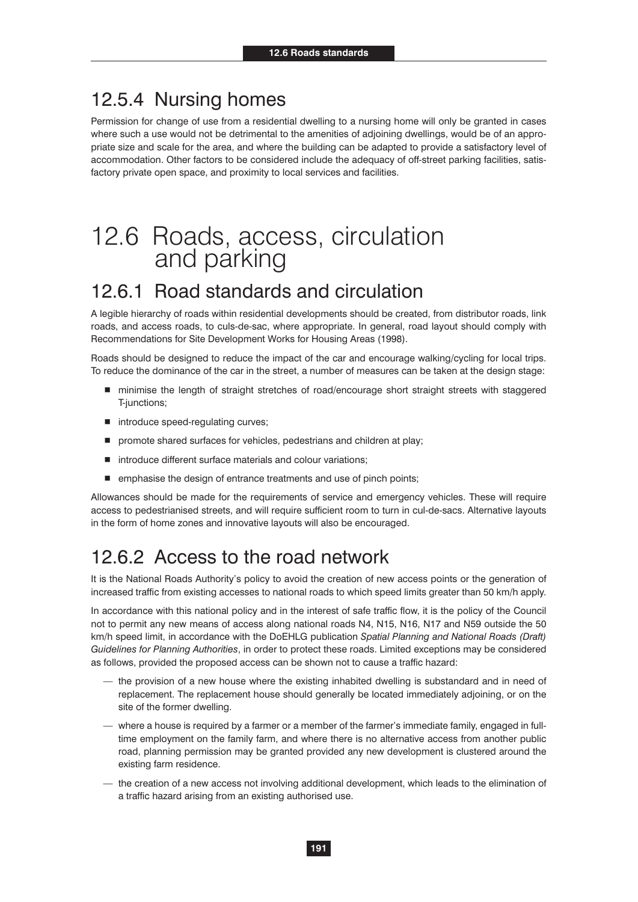#### 12.5.4 Nursing homes

Permission for change of use from a residential dwelling to a nursing home will only be granted in cases where such a use would not be detrimental to the amenities of adjoining dwellings, would be of an appropriate size and scale for the area, and where the building can be adapted to provide a satisfactory level of accommodation. Other factors to be considered include the adequacy of off-street parking facilities, satisfactory private open space, and proximity to local services and facilities.

# 12.6 Roads, access, circulation and parking

#### 12.6.1 Road standards and circulation

A legible hierarchy of roads within residential developments should be created, from distributor roads, link roads, and access roads, to culs-de-sac, where appropriate. In general, road layout should comply with Recommendations for Site Development Works for Housing Areas (1998).

Roads should be designed to reduce the impact of the car and encourage walking/cycling for local trips. To reduce the dominance of the car in the street, a number of measures can be taken at the design stage:

- minimise the length of straight stretches of road/encourage short straight streets with staggered T-junctions;
- introduce speed-regulating curves;
- **n** promote shared surfaces for vehicles, pedestrians and children at play;
- introduce different surface materials and colour variations;
- $\blacksquare$  emphasise the design of entrance treatments and use of pinch points;

Allowances should be made for the requirements of service and emergency vehicles. These will require access to pedestrianised streets, and will require sufficient room to turn in cul-de-sacs. Alternative layouts in the form of home zones and innovative layouts will also be encouraged.

#### 12.6.2 Access to the road network

It is the National Roads Authority's policy to avoid the creation of new access points or the generation of increased traffic from existing accesses to national roads to which speed limits greater than 50 km/h apply.

In accordance with this national policy and in the interest of safe traffic flow, it is the policy of the Council not to permit any new means of access along national roads N4, N15, N16, N17 and N59 outside the 50 km/h speed limit, in accordance with the DoEHLG publication *Spatial Planning and National Roads (Draft) Guidelines for Planning Authorities*, in order to protect these roads. Limited exceptions may be considered as follows, provided the proposed access can be shown not to cause a traffic hazard:

- the provision of a new house where the existing inhabited dwelling is substandard and in need of replacement. The replacement house should generally be located immediately adjoining, or on the site of the former dwelling.
- where a house is required by a farmer or a member of the farmer's immediate family, engaged in fulltime employment on the family farm, and where there is no alternative access from another public road, planning permission may be granted provided any new development is clustered around the existing farm residence.
- the creation of a new access not involving additional development, which leads to the elimination of a traffic hazard arising from an existing authorised use.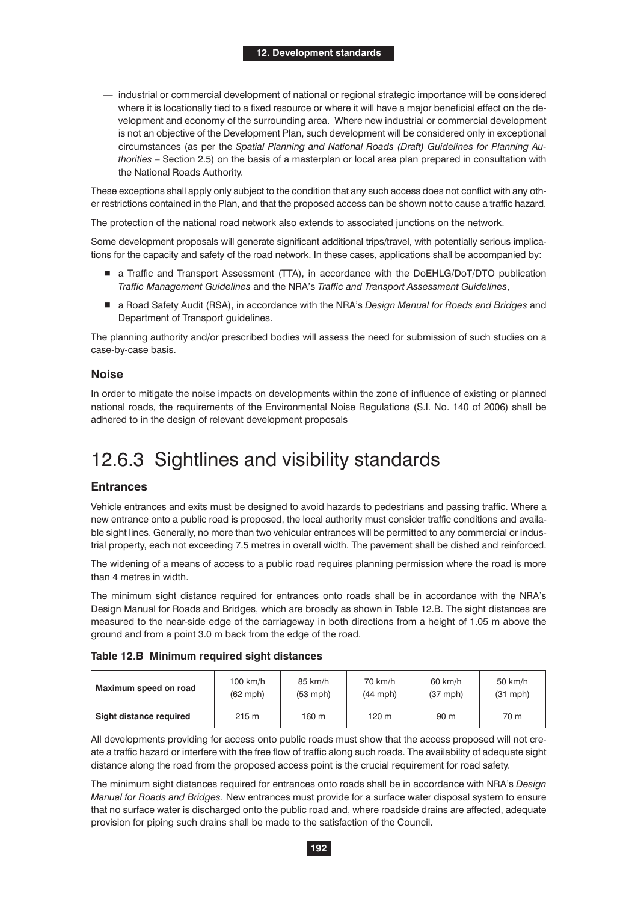— industrial or commercial development of national or regional strategic importance will be considered where it is locationally tied to a fixed resource or where it will have a major beneficial effect on the development and economy of the surrounding area. Where new industrial or commercial development is not an objective of the Development Plan, such development will be considered only in exceptional circumstances (as per the *Spatial Planning and National Roads (Draft) Guidelines for Planning Authorities* – Section 2.5) on the basis of a masterplan or local area plan prepared in consultation with the National Roads Authority.

These exceptions shall apply only subject to the condition that any such access does not conflict with any other restrictions contained in the Plan, and that the proposed access can be shown not to cause a traffic hazard.

The protection of the national road network also extends to associated junctions on the network.

Some development proposals will generate significant additional trips/travel, with potentially serious implications for the capacity and safety of the road network. In these cases, applications shall be accompanied by:

- a Traffic and Transport Assessment (TTA), in accordance with the DoEHLG/DoT/DTO publication *Traffic Management Guidelines* and the NRA's *Traffic and Transport Assessment Guidelines*,
- a Road Safety Audit (RSA), in accordance with the NRA's *Design Manual for Roads and Bridges* and Department of Transport guidelines.

The planning authority and/or prescribed bodies will assess the need for submission of such studies on a case-by-case basis.

#### **Noise**

In order to mitigate the noise impacts on developments within the zone of influence of existing or planned national roads, the requirements of the Environmental Noise Regulations (S.I. No. 140 of 2006) shall be adhered to in the design of relevant development proposals

#### 12.6.3 Sightlines and visibility standards

#### **Entrances**

Vehicle entrances and exits must be designed to avoid hazards to pedestrians and passing traffic. Where a new entrance onto a public road is proposed, the local authority must consider traffic conditions and available sight lines. Generally, no more than two vehicular entrances will be permitted to any commercial or industrial property, each not exceeding 7.5 metres in overall width. The pavement shall be dished and reinforced.

The widening of a means of access to a public road requires planning permission where the road is more than 4 metres in width.

The minimum sight distance required for entrances onto roads shall be in accordance with the NRA's Design Manual for Roads and Bridges, which are broadly as shown in Table 12.B. The sight distances are measured to the near-side edge of the carriageway in both directions from a height of 1.05 m above the ground and from a point 3.0 m back from the edge of the road.

| Table 12.B Minimum required sight distances |  |  |  |  |
|---------------------------------------------|--|--|--|--|
|---------------------------------------------|--|--|--|--|

| Maximum speed on road   | $100$ km/h         | 85 km/h            | 70 km/h    | 60 km/h         | $50$ km/h  |
|-------------------------|--------------------|--------------------|------------|-----------------|------------|
|                         | $(62 \text{ mph})$ | $(53 \text{ mph})$ | $(44$ mph) | $(37$ mph)      | $(31$ mph) |
| Sight distance required | 215 m              | 160 m              | 120 m      | 90 <sub>m</sub> | 70 m       |

All developments providing for access onto public roads must show that the access proposed will not create a traffic hazard or interfere with the free flow of traffic along such roads. The availability of adequate sight distance along the road from the proposed access point is the crucial requirement for road safety.

The minimum sight distances required for entrances onto roads shall be in accordance with NRA's *Design Manual for Roads and Bridges*. New entrances must provide for a surface water disposal system to ensure that no surface water is discharged onto the public road and, where roadside drains are affected, adequate provision for piping such drains shall be made to the satisfaction of the Council.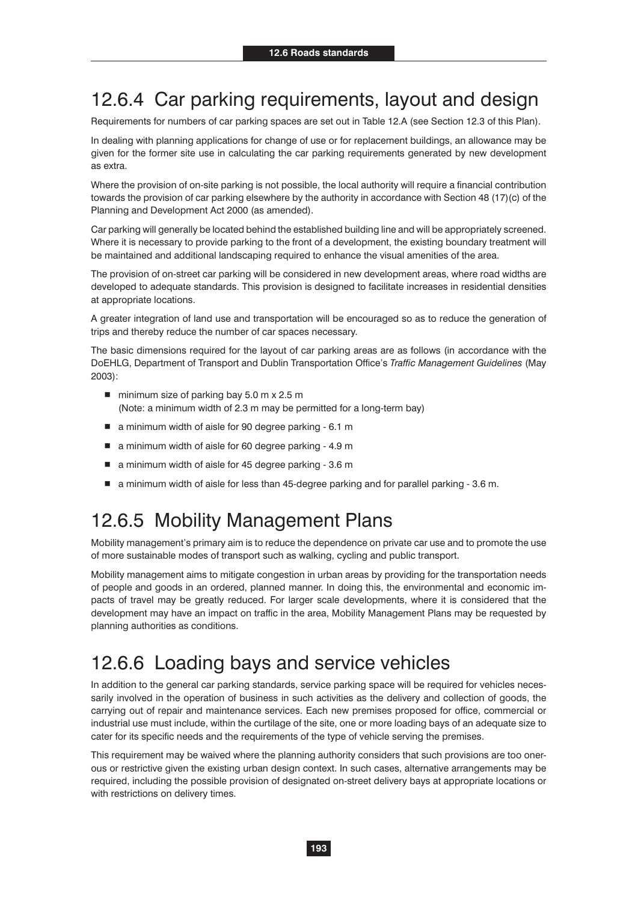#### 12.6.4 Car parking requirements, layout and design

Requirements for numbers of car parking spaces are set out in Table 12.A (see Section 12.3 of this Plan).

In dealing with planning applications for change of use or for replacement buildings, an allowance may be given for the former site use in calculating the car parking requirements generated by new development as extra.

Where the provision of on-site parking is not possible, the local authority will require a financial contribution towards the provision of car parking elsewhere by the authority in accordance with Section 48 (17)(c) of the Planning and Development Act 2000 (as amended).

Car parking will generally be located behind the established building line and will be appropriately screened. Where it is necessary to provide parking to the front of a development, the existing boundary treatment will be maintained and additional landscaping required to enhance the visual amenities of the area.

The provision of on-street car parking will be considered in new development areas, where road widths are developed to adequate standards. This provision is designed to facilitate increases in residential densities at appropriate locations.

A greater integration of land use and transportation will be encouraged so as to reduce the generation of trips and thereby reduce the number of car spaces necessary.

The basic dimensions required for the layout of car parking areas are as follows (in accordance with the DoEHLG, Department of Transport and Dublin Transportation Office's *Traffic Management Guidelines* (May 2003):

- minimum size of parking bay 5.0 m x 2.5 m (Note: a minimum width of 2.3 m may be permitted for a long-term bay)
- a minimum width of aisle for 90 degree parking 6.1 m
- a minimum width of aisle for 60 degree parking - 4.9 m
- a minimum width of aisle for 45 degree parking 3.6 m
- a minimum width of aisle for less than 45-degree parking and for parallel parking 3.6 m.

### 12.6.5 Mobility Management Plans

Mobility management's primary aim is to reduce the dependence on private car use and to promote the use of more sustainable modes of transport such as walking, cycling and public transport.

Mobility management aims to mitigate congestion in urban areas by providing for the transportation needs of people and goods in an ordered, planned manner. In doing this, the environmental and economic impacts of travel may be greatly reduced. For larger scale developments, where it is considered that the development may have an impact on traffic in the area, Mobility Management Plans may be requested by planning authorities as conditions.

#### 12.6.6 Loading bays and service vehicles

In addition to the general car parking standards, service parking space will be required for vehicles necessarily involved in the operation of business in such activities as the delivery and collection of goods, the carrying out of repair and maintenance services. Each new premises proposed for office, commercial or industrial use must include, within the curtilage of the site, one or more loading bays of an adequate size to cater for its specific needs and the requirements of the type of vehicle serving the premises.

This requirement may be waived where the planning authority considers that such provisions are too onerous or restrictive given the existing urban design context. In such cases, alternative arrangements may be required, including the possible provision of designated on-street delivery bays at appropriate locations or with restrictions on delivery times.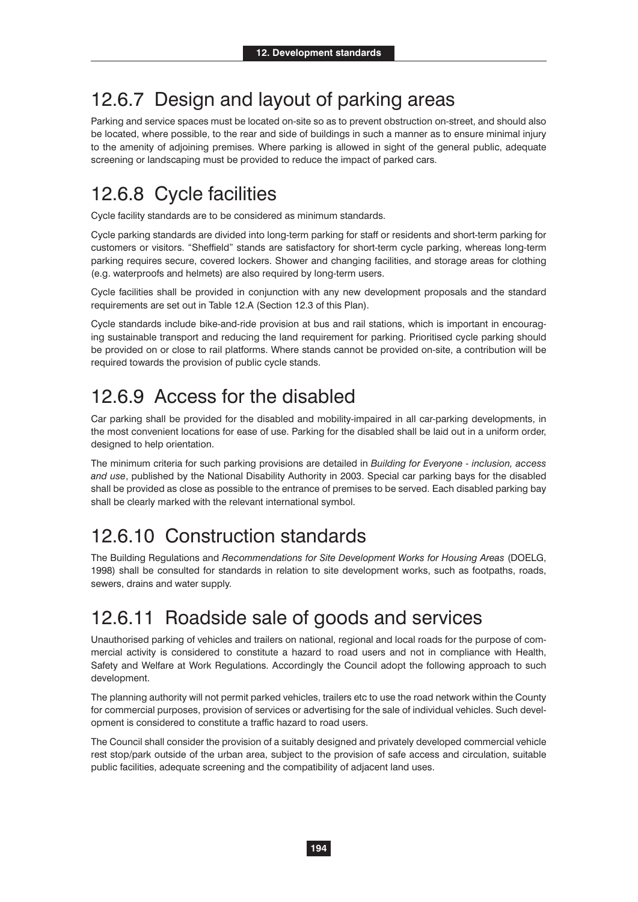#### 12.6.7 Design and layout of parking areas

Parking and service spaces must be located on-site so as to prevent obstruction on-street, and should also be located, where possible, to the rear and side of buildings in such a manner as to ensure minimal injury to the amenity of adjoining premises. Where parking is allowed in sight of the general public, adequate screening or landscaping must be provided to reduce the impact of parked cars.

### 12.6.8 Cycle facilities

Cycle facility standards are to be considered as minimum standards.

Cycle parking standards are divided into long-term parking for staff or residents and short-term parking for customers or visitors. "Sheffield" stands are satisfactory for short-term cycle parking, whereas long-term parking requires secure, covered lockers. Shower and changing facilities, and storage areas for clothing (e.g. waterproofs and helmets) are also required by long-term users.

Cycle facilities shall be provided in conjunction with any new development proposals and the standard requirements are set out in Table 12.A (Section 12.3 of this Plan).

Cycle standards include bike-and-ride provision at bus and rail stations, which is important in encouraging sustainable transport and reducing the land requirement for parking. Prioritised cycle parking should be provided on or close to rail platforms. Where stands cannot be provided on-site, a contribution will be required towards the provision of public cycle stands.

#### 12.6.9 Access for the disabled

Car parking shall be provided for the disabled and mobility-impaired in all car-parking developments, in the most convenient locations for ease of use. Parking for the disabled shall be laid out in a uniform order, designed to help orientation.

The minimum criteria for such parking provisions are detailed in *Building for Everyone - inclusion, access and use*, published by the National Disability Authority in 2003. Special car parking bays for the disabled shall be provided as close as possible to the entrance of premises to be served. Each disabled parking bay shall be clearly marked with the relevant international symbol.

### 12.6.10 Construction standards

The Building Regulations and *Recommendations for Site Development Works for Housing Areas* (DOELG, 1998) shall be consulted for standards in relation to site development works, such as footpaths, roads, sewers, drains and water supply.

#### 12.6.11 Roadside sale of goods and services

Unauthorised parking of vehicles and trailers on national, regional and local roads for the purpose of commercial activity is considered to constitute a hazard to road users and not in compliance with Health, Safety and Welfare at Work Regulations. Accordingly the Council adopt the following approach to such development.

The planning authority will not permit parked vehicles, trailers etc to use the road network within the County for commercial purposes, provision of services or advertising for the sale of individual vehicles. Such development is considered to constitute a traffic hazard to road users.

The Council shall consider the provision of a suitably designed and privately developed commercial vehicle rest stop/park outside of the urban area, subject to the provision of safe access and circulation, suitable public facilities, adequate screening and the compatibility of adjacent land uses.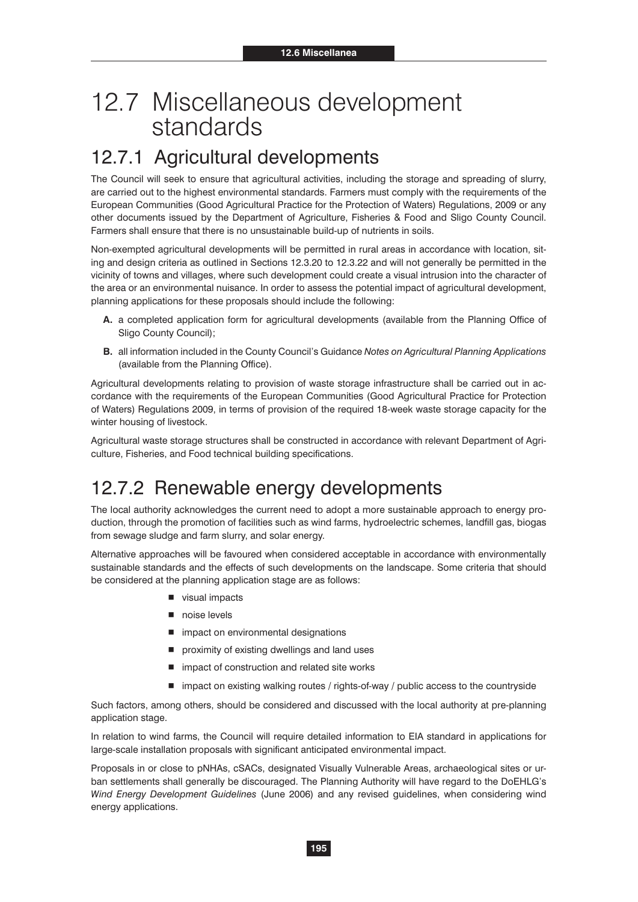# 12.7 Miscellaneous development standards

### 12.7.1 Agricultural developments

The Council will seek to ensure that agricultural activities, including the storage and spreading of slurry, are carried out to the highest environmental standards. Farmers must comply with the requirements of the European Communities (Good Agricultural Practice for the Protection of Waters) Regulations, 2009 or any other documents issued by the Department of Agriculture, Fisheries & Food and Sligo County Council. Farmers shall ensure that there is no unsustainable build-up of nutrients in soils.

Non-exempted agricultural developments will be permitted in rural areas in accordance with location, siting and design criteria as outlined in Sections 12.3.20 to 12.3.22 and will not generally be permitted in the vicinity of towns and villages, where such development could create a visual intrusion into the character of the area or an environmental nuisance. In order to assess the potential impact of agricultural development, planning applications for these proposals should include the following:

- **A.** a completed application form for agricultural developments (available from the Planning Office of Sligo County Council);
- **B.** all information included in the County Council's Guidance *Notes on Agricultural Planning Applications* (available from the Planning Office).

Agricultural developments relating to provision of waste storage infrastructure shall be carried out in accordance with the requirements of the European Communities (Good Agricultural Practice for Protection of Waters) Regulations 2009, in terms of provision of the required 18-week waste storage capacity for the winter housing of livestock.

Agricultural waste storage structures shall be constructed in accordance with relevant Department of Agriculture, Fisheries, and Food technical building specifications.

### 12.7.2 Renewable energy developments

The local authority acknowledges the current need to adopt a more sustainable approach to energy production, through the promotion of facilities such as wind farms, hydroelectric schemes, landfill gas, biogas from sewage sludge and farm slurry, and solar energy.

Alternative approaches will be favoured when considered acceptable in accordance with environmentally sustainable standards and the effects of such developments on the landscape. Some criteria that should be considered at the planning application stage are as follows:

- visual impacts
- noise levels
- $\blacksquare$  impact on environmental designations
- $\blacksquare$  proximity of existing dwellings and land uses
- impact of construction and related site works
- impact on existing walking routes / rights-of-way / public access to the countryside

Such factors, among others, should be considered and discussed with the local authority at pre-planning application stage.

In relation to wind farms, the Council will require detailed information to EIA standard in applications for large-scale installation proposals with significant anticipated environmental impact.

Proposals in or close to pNHAs, cSACs, designated Visually Vulnerable Areas, archaeological sites or urban settlements shall generally be discouraged. The Planning Authority will have regard to the DoEHLG's *Wind Energy Development Guidelines* (June 2006) and any revised guidelines, when considering wind energy applications.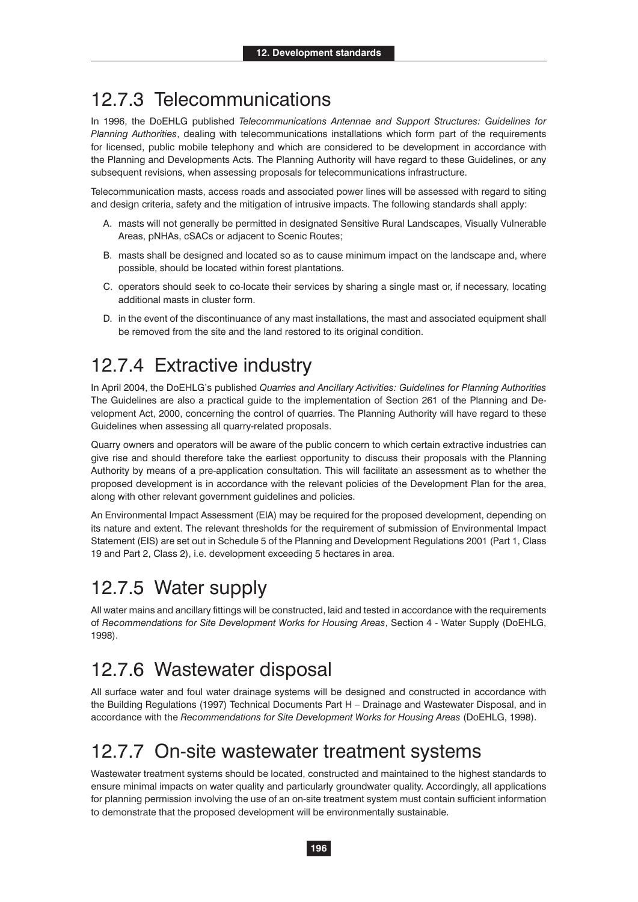#### 12.7.3 Telecommunications

In 1996, the DoEHLG published *Telecommunications Antennae and Support Structures: Guidelines for Planning Authorities*, dealing with telecommunications installations which form part of the requirements for licensed, public mobile telephony and which are considered to be development in accordance with the Planning and Developments Acts. The Planning Authority will have regard to these Guidelines, or any subsequent revisions, when assessing proposals for telecommunications infrastructure.

Telecommunication masts, access roads and associated power lines will be assessed with regard to siting and design criteria, safety and the mitigation of intrusive impacts. The following standards shall apply:

- A. masts will not generally be permitted in designated Sensitive Rural Landscapes, Visually Vulnerable Areas, pNHAs, cSACs or adjacent to Scenic Routes;
- B. masts shall be designed and located so as to cause minimum impact on the landscape and, where possible, should be located within forest plantations.
- C. operators should seek to co-locate their services by sharing a single mast or, if necessary, locating additional masts in cluster form.
- D. in the event of the discontinuance of any mast installations, the mast and associated equipment shall be removed from the site and the land restored to its original condition.

#### 12.7.4 Extractive industry

In April 2004, the DoEHLG's published *Quarries and Ancillary Activities: Guidelines for Planning Authorities*  The Guidelines are also a practical guide to the implementation of Section 261 of the Planning and Development Act, 2000, concerning the control of quarries. The Planning Authority will have regard to these Guidelines when assessing all quarry-related proposals.

Quarry owners and operators will be aware of the public concern to which certain extractive industries can give rise and should therefore take the earliest opportunity to discuss their proposals with the Planning Authority by means of a pre-application consultation. This will facilitate an assessment as to whether the proposed development is in accordance with the relevant policies of the Development Plan for the area, along with other relevant government guidelines and policies.

An Environmental Impact Assessment (EIA) may be required for the proposed development, depending on its nature and extent. The relevant thresholds for the requirement of submission of Environmental Impact Statement (EIS) are set out in Schedule 5 of the Planning and Development Regulations 2001 (Part 1, Class 19 and Part 2, Class 2), i.e. development exceeding 5 hectares in area.

### 12.7.5 Water supply

All water mains and ancillary fittings will be constructed, laid and tested in accordance with the requirements of *Recommendations for Site Development Works for Housing Areas*, Section 4 - Water Supply (DoEHLG, 1998).

#### 12.7.6 Wastewater disposal

All surface water and foul water drainage systems will be designed and constructed in accordance with the Building Regulations (1997) Technical Documents Part H – Drainage and Wastewater Disposal, and in accordance with the *Recommendations for Site Development Works for Housing Areas* (DoEHLG, 1998).

### 12.7.7 On-site wastewater treatment systems

Wastewater treatment systems should be located, constructed and maintained to the highest standards to ensure minimal impacts on water quality and particularly groundwater quality. Accordingly, all applications for planning permission involving the use of an on-site treatment system must contain sufficient information to demonstrate that the proposed development will be environmentally sustainable.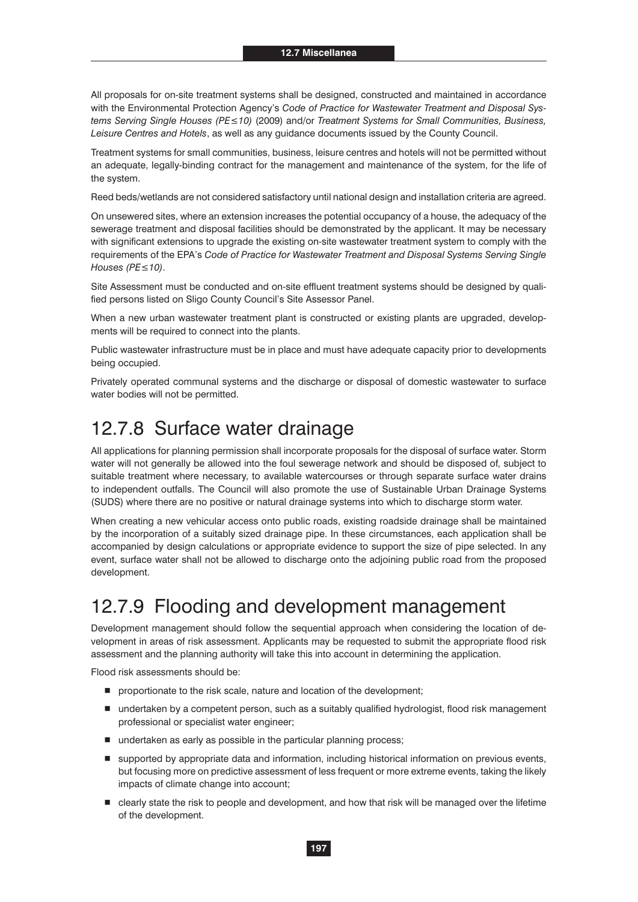All proposals for on-site treatment systems shall be designed, constructed and maintained in accordance with the Environmental Protection Agency's *Code of Practice for Wastewater Treatment and Disposal Sys tems Serving Single Houses (PE≤10) (2009) and/or Treatment Systems for Small Communities, Business, Leisure Centres and Hotels*, as well as any guidance documents issued by the County Council.

Treatment systems for small communities, business, leisure centres and hotels will not be permitted without an adequate, legally-binding contract for the management and maintenance of the system, for the life of the system.

Reed beds/wetlands are not considered satisfactory until national design and installation criteria are agreed.

On unsewered sites, where an extension increases the potential occupancy of a house, the adequacy of the sewerage treatment and disposal facilities should be demonstrated by the applicant. It may be necessary with significant extensions to upgrade the existing on-site wastewater treatment system to comply with the requirements of the EPA's *Code of Practice for Wastewater Treatment and Disposal Systems Serving Single Houses (PE≤10).* 

Site Assessment must be conducted and on-site effluent treatment systems should be designed by qualified persons listed on Sligo County Council's Site Assessor Panel.

When a new urban wastewater treatment plant is constructed or existing plants are upgraded, developments will be required to connect into the plants.

Public wastewater infrastructure must be in place and must have adequate capacity prior to developments being occupied.

Privately operated communal systems and the discharge or disposal of domestic wastewater to surface water bodies will not be permitted.

#### 12.7.8 Surface water drainage

All applications for planning permission shall incorporate proposals for the disposal of surface water. Storm water will not generally be allowed into the foul sewerage network and should be disposed of, subject to suitable treatment where necessary, to available watercourses or through separate surface water drains to independent outfalls. The Council will also promote the use of Sustainable Urban Drainage Systems (SUDS) where there are no positive or natural drainage systems into which to discharge storm water.

When creating a new vehicular access onto public roads, existing roadside drainage shall be maintained by the incorporation of a suitably sized drainage pipe. In these circumstances, each application shall be accompanied by design calculations or appropriate evidence to support the size of pipe selected. In any event, surface water shall not be allowed to discharge onto the adjoining public road from the proposed development.

#### 12.7.9 Flooding and development management

Development management should follow the sequential approach when considering the location of development in areas of risk assessment. Applicants may be requested to submit the appropriate flood risk assessment and the planning authority will take this into account in determining the application.

Flood risk assessments should be:

- **P** proportionate to the risk scale, nature and location of the development;
- undertaken by a competent person, such as a suitably qualified hydrologist, flood risk management professional or specialist water engineer;
- undertaken as early as possible in the particular planning process;
- supported by appropriate data and information, including historical information on previous events, but focusing more on predictive assessment of less frequent or more extreme events, taking the likely impacts of climate change into account;
- clearly state the risk to people and development, and how that risk will be managed over the lifetime of the development.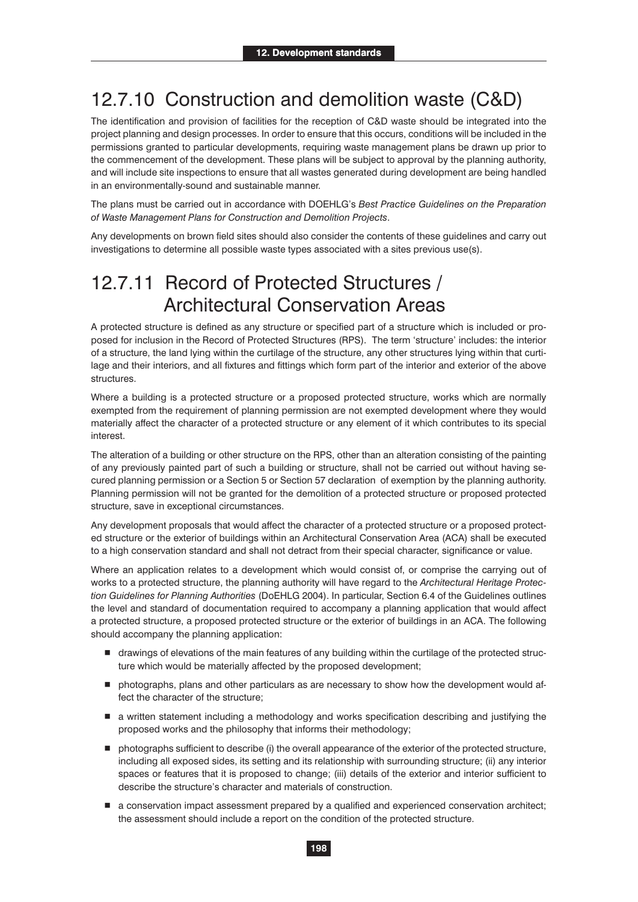### 12.7.10 Construction and demolition waste (C&D)

The identification and provision of facilities for the reception of C&D waste should be integrated into the project planning and design processes. In order to ensure that this occurs, conditions will be included in the permissions granted to particular developments, requiring waste management plans be drawn up prior to the commencement of the development. These plans will be subject to approval by the planning authority, and will include site inspections to ensure that all wastes generated during development are being handled in an environmentally-sound and sustainable manner.

The plans must be carried out in accordance with DOEHLG's *Best Practice Guidelines on the Preparation of Waste Management Plans for Construction and Demolition Projects*.

Any developments on brown field sites should also consider the contents of these guidelines and carry out investigations to determine all possible waste types associated with a sites previous use(s).

#### 12.7.11 Record of Protected Structures / Architectural Conservation Areas

A protected structure is defined as any structure or specified part of a structure which is included or proposed for inclusion in the Record of Protected Structures (RPS). The term 'structure' includes: the interior of a structure, the land lying within the curtilage of the structure, any other structures lying within that curtilage and their interiors, and all fixtures and fittings which form part of the interior and exterior of the above structures.

Where a building is a protected structure or a proposed protected structure, works which are normally exempted from the requirement of planning permission are not exempted development where they would materially affect the character of a protected structure or any element of it which contributes to its special interest.

The alteration of a building or other structure on the RPS, other than an alteration consisting of the painting of any previously painted part of such a building or structure, shall not be carried out without having secured planning permission or a Section 5 or Section 57 declaration of exemption by the planning authority. Planning permission will not be granted for the demolition of a protected structure or proposed protected structure, save in exceptional circumstances.

Any development proposals that would affect the character of a protected structure or a proposed protected structure or the exterior of buildings within an Architectural Conservation Area (ACA) shall be executed to a high conservation standard and shall not detract from their special character, significance or value.

Where an application relates to a development which would consist of, or comprise the carrying out of works to a protected structure, the planning authority will have regard to the *Architectural Heritage Protection Guidelines for Planning Authorities* (DoEHLG 2004). In particular, Section 6.4 of the Guidelines outlines the level and standard of documentation required to accompany a planning application that would affect a protected structure, a proposed protected structure or the exterior of buildings in an ACA. The following should accompany the planning application:

- drawings of elevations of the main features of any building within the curtilage of the protected structure which would be materially affected by the proposed development;
- photographs, plans and other particulars as are necessary to show how the development would affect the character of the structure;
- $\blacksquare$  a written statement including a methodology and works specification describing and justifying the proposed works and the philosophy that informs their methodology;
- $\blacksquare$  photographs sufficient to describe (i) the overall appearance of the exterior of the protected structure, including all exposed sides, its setting and its relationship with surrounding structure; (ii) any interior spaces or features that it is proposed to change; (iii) details of the exterior and interior sufficient to describe the structure's character and materials of construction.
- a conservation impact assessment prepared by a qualified and experienced conservation architect; the assessment should include a report on the condition of the protected structure.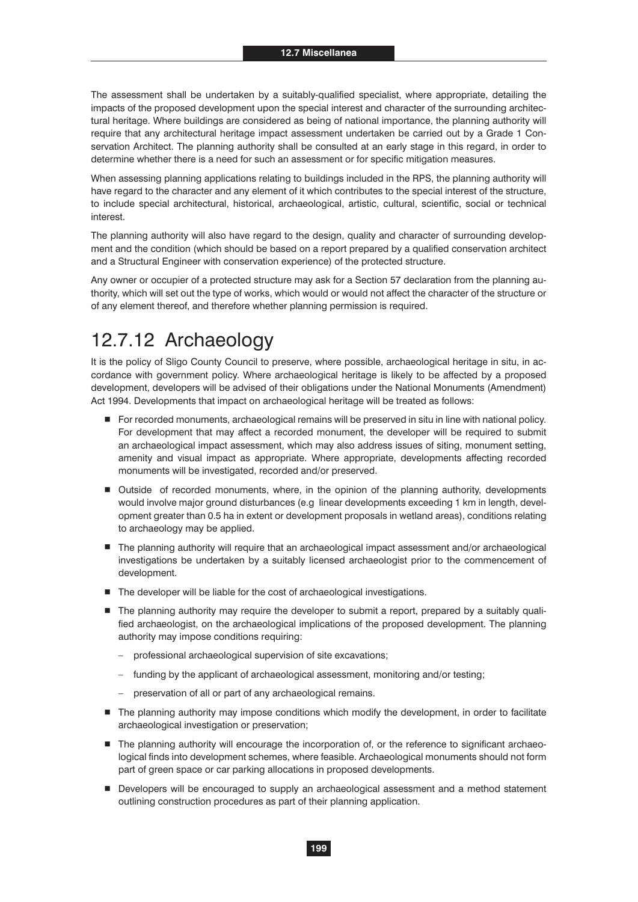The assessment shall be undertaken by a suitably-qualified specialist, where appropriate, detailing the impacts of the proposed development upon the special interest and character of the surrounding architectural heritage. Where buildings are considered as being of national importance, the planning authority will require that any architectural heritage impact assessment undertaken be carried out by a Grade 1 Conservation Architect. The planning authority shall be consulted at an early stage in this regard, in order to determine whether there is a need for such an assessment or for specific mitigation measures.

When assessing planning applications relating to buildings included in the RPS, the planning authority will have regard to the character and any element of it which contributes to the special interest of the structure, to include special architectural, historical, archaeological, artistic, cultural, scientific, social or technical interest.

The planning authority will also have regard to the design, quality and character of surrounding development and the condition (which should be based on a report prepared by a qualified conservation architect and a Structural Engineer with conservation experience) of the protected structure.

Any owner or occupier of a protected structure may ask for a Section 57 declaration from the planning authority, which will set out the type of works, which would or would not affect the character of the structure or of any element thereof, and therefore whether planning permission is required.

#### 12.7.12 Archaeology

It is the policy of Sligo County Council to preserve, where possible, archaeological heritage in situ, in accordance with government policy. Where archaeological heritage is likely to be affected by a proposed development, developers will be advised of their obligations under the National Monuments (Amendment) Act 1994. Developments that impact on archaeological heritage will be treated as follows:

- For recorded monuments, archaeological remains will be preserved in situ in line with national policy. For development that may affect a recorded monument, the developer will be required to submit an archaeological impact assessment, which may also address issues of siting, monument setting, amenity and visual impact as appropriate. Where appropriate, developments affecting recorded monuments will be investigated, recorded and/or preserved.
- Outside of recorded monuments, where, in the opinion of the planning authority, developments would involve major ground disturbances (e.g linear developments exceeding 1 km in length, development greater than 0.5 ha in extent or development proposals in wetland areas), conditions relating to archaeology may be applied.
- The planning authority will require that an archaeological impact assessment and/or archaeological investigations be undertaken by a suitably licensed archaeologist prior to the commencement of development.
- $\blacksquare$  The developer will be liable for the cost of archaeological investigations.
- The planning authority may require the developer to submit a report, prepared by a suitably qualified archaeologist, on the archaeological implications of the proposed development. The planning authority may impose conditions requiring:
	- professional archaeological supervision of site excavations;
	- funding by the applicant of archaeological assessment, monitoring and/or testing;
	- preservation of all or part of any archaeological remains.
- The planning authority may impose conditions which modify the development, in order to facilitate archaeological investigation or preservation;
- $\blacksquare$  The planning authority will encourage the incorporation of, or the reference to significant archaeological finds into development schemes, where feasible. Archaeological monuments should not form part of green space or car parking allocations in proposed developments.
- Developers will be encouraged to supply an archaeological assessment and a method statement outlining construction procedures as part of their planning application.